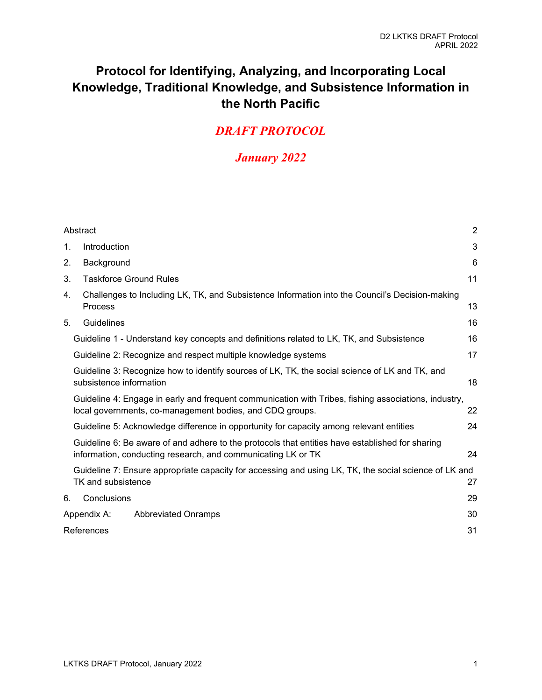# **Protocol for Identifying, Analyzing, and Incorporating Local Knowledge, Traditional Knowledge, and Subsistence Information in the North Pacific**

# *DRAFT PROTOCOL*

# *January 2022*

|                                                                                                                                                                  | Abstract                                                                                                                    | $\overline{2}$ |  |  |  |
|------------------------------------------------------------------------------------------------------------------------------------------------------------------|-----------------------------------------------------------------------------------------------------------------------------|----------------|--|--|--|
| 1.                                                                                                                                                               | Introduction                                                                                                                | 3              |  |  |  |
| 2.                                                                                                                                                               | Background                                                                                                                  | 6              |  |  |  |
| 3.                                                                                                                                                               | <b>Taskforce Ground Rules</b>                                                                                               | 11             |  |  |  |
| 4.                                                                                                                                                               | Challenges to Including LK, TK, and Subsistence Information into the Council's Decision-making<br>Process                   | 13             |  |  |  |
| 5.                                                                                                                                                               | Guidelines                                                                                                                  | 16             |  |  |  |
|                                                                                                                                                                  | Guideline 1 - Understand key concepts and definitions related to LK, TK, and Subsistence                                    | 16             |  |  |  |
|                                                                                                                                                                  | Guideline 2: Recognize and respect multiple knowledge systems                                                               | 17             |  |  |  |
|                                                                                                                                                                  | Guideline 3: Recognize how to identify sources of LK, TK, the social science of LK and TK, and<br>subsistence information   | 18             |  |  |  |
| Guideline 4: Engage in early and frequent communication with Tribes, fishing associations, industry,<br>local governments, co-management bodies, and CDQ groups. |                                                                                                                             |                |  |  |  |
| Guideline 5: Acknowledge difference in opportunity for capacity among relevant entities                                                                          |                                                                                                                             |                |  |  |  |
| Guideline 6: Be aware of and adhere to the protocols that entities have established for sharing<br>information, conducting research, and communicating LK or TK  |                                                                                                                             |                |  |  |  |
|                                                                                                                                                                  | Guideline 7: Ensure appropriate capacity for accessing and using LK, TK, the social science of LK and<br>TK and subsistence |                |  |  |  |
| 6.                                                                                                                                                               | Conclusions                                                                                                                 | 29             |  |  |  |
|                                                                                                                                                                  | Appendix A:<br><b>Abbreviated Onramps</b>                                                                                   | 30             |  |  |  |
| References                                                                                                                                                       |                                                                                                                             |                |  |  |  |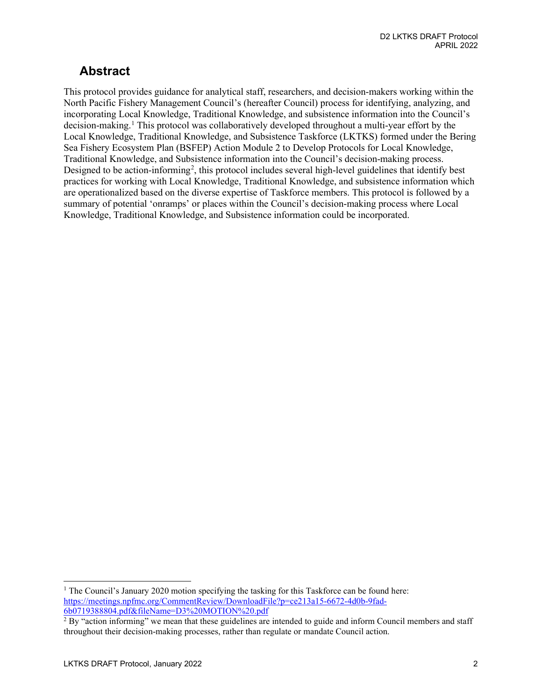# <span id="page-1-0"></span>**Abstract**

This protocol provides guidance for analytical staff, researchers, and decision-makers working within the North Pacific Fishery Management Council's (hereafter Council) process for identifying, analyzing, and incorporating Local Knowledge, Traditional Knowledge, and subsistence information into the Council's decision-making.[1](#page-1-1) This protocol was collaboratively developed throughout a multi-year effort by the Local Knowledge, Traditional Knowledge, and Subsistence Taskforce (LKTKS) formed under the Bering Sea Fishery Ecosystem Plan (BSFEP) Action Module 2 to Develop Protocols for Local Knowledge, Traditional Knowledge, and Subsistence information into the Council's decision-making process. Designed to be action-informing<sup>[2](#page-1-2)</sup>, this protocol includes several high-level guidelines that identify best practices for working with Local Knowledge, Traditional Knowledge, and subsistence information which are operationalized based on the diverse expertise of Taskforce members. This protocol is followed by a summary of potential 'onramps' or places within the Council's decision-making process where Local Knowledge, Traditional Knowledge, and Subsistence information could be incorporated.

<span id="page-1-1"></span><sup>&</sup>lt;sup>1</sup> The Council's January 2020 motion specifying the tasking for this Taskforce can be found here: [https://meetings.npfmc.org/CommentReview/DownloadFile?p=ce213a15-6672-4d0b-9fad-](https://meetings.npfmc.org/CommentReview/DownloadFile?p=ce213a15-6672-4d0b-9fad-6b0719388804.pdf&fileName=D3%20MOTION%20.pdf)[6b0719388804.pdf&fileName=D3%20MOTION%20.pdf](https://meetings.npfmc.org/CommentReview/DownloadFile?p=ce213a15-6672-4d0b-9fad-6b0719388804.pdf&fileName=D3%20MOTION%20.pdf)

<span id="page-1-2"></span> $2$  By "action informing" we mean that these guidelines are intended to guide and inform Council members and staff throughout their decision-making processes, rather than regulate or mandate Council action.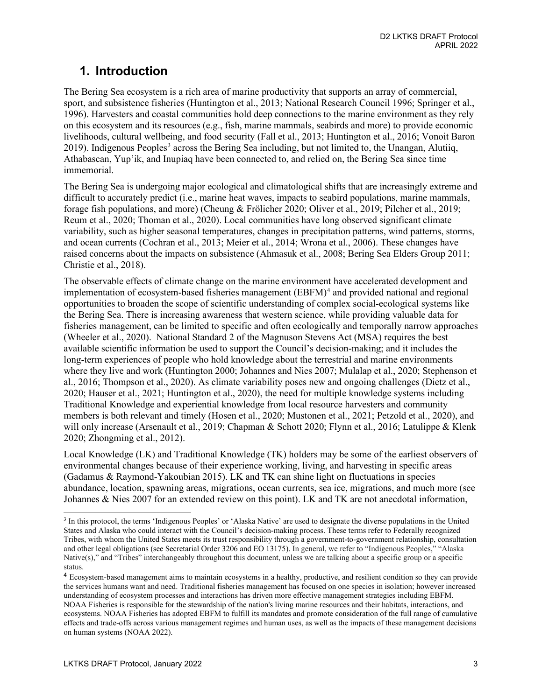# <span id="page-2-0"></span>**1. Introduction**

The Bering Sea ecosystem is a rich area of marine productivity that supports an array of commercial, sport, and subsistence fisheries (Huntington et al., 2013; National Research Council 1996; Springer et al., 1996). Harvesters and coastal communities hold deep connections to the marine environment as they rely on this ecosystem and its resources (e.g., fish, marine mammals, seabirds and more) to provide economic livelihoods, cultural wellbeing, and food security (Fall et al., 2013; Huntington et al., 2016; Vonoit Baron 2019). Indigenous Peoples<sup>3</sup> across the Bering Sea including, but not limited to, the Unangan, Alutiiq, Athabascan, Yup'ik, and Inupiaq have been connected to, and relied on, the Bering Sea since time immemorial.

The Bering Sea is undergoing major ecological and climatological shifts that are increasingly extreme and difficult to accurately predict (i.e., marine heat waves, impacts to seabird populations, marine mammals, forage fish populations, and more) (Cheung & Frölicher 2020; Oliver et al., 2019; Pilcher et al., 2019; Reum et al., 2020; Thoman et al., 2020). Local communities have long observed significant climate variability, such as higher seasonal temperatures, changes in precipitation patterns, wind patterns, storms, and ocean currents (Cochran et al., 2013; Meier et al., 2014; Wrona et al., 2006). These changes have raised concerns about the impacts on subsistence (Ahmasuk et al., 2008; Bering Sea Elders Group 2011; Christie et al., 2018).

The observable effects of climate change on the marine environment have accelerated development and implementation of ecosystem-based fisheries management (EBFM)<sup>[4](#page-2-2)</sup> and provided national and regional opportunities to broaden the scope of scientific understanding of complex social-ecological systems like the Bering Sea. There is increasing awareness that western science, while providing valuable data for fisheries management, can be limited to specific and often ecologically and temporally narrow approaches (Wheeler et al., 2020). National Standard 2 of the Magnuson Stevens Act (MSA) requires the best available scientific information be used to support the Council's decision-making; and it includes the long-term experiences of people who hold knowledge about the terrestrial and marine environments where they live and work (Huntington 2000; Johannes and Nies 2007; Mulalap et al., 2020; Stephenson et al., 2016; Thompson et al., 2020). As climate variability poses new and ongoing challenges (Dietz et al., 2020; Hauser et al., 2021; Huntington et al., 2020), the need for multiple knowledge systems including Traditional Knowledge and experiential knowledge from local resource harvesters and community members is both relevant and timely (Hosen et al., 2020; Mustonen et al., 2021; Petzold et al., 2020), and will only increase (Arsenault et al., 2019; Chapman & Schott 2020; Flynn et al., 2016; Latulippe & Klenk 2020; Zhongming et al., 2012).

Local Knowledge (LK) and Traditional Knowledge (TK) holders may be some of the earliest observers of environmental changes because of their experience working, living, and harvesting in specific areas (Gadamus & Raymond-Yakoubian 2015). LK and TK can shine light on fluctuations in species abundance, location, spawning areas, migrations, ocean currents, sea ice, migrations, and much more (see Johannes & Nies 2007 for an extended review on this point). LK and TK are not anecdotal information,

<span id="page-2-1"></span><sup>3</sup> In this protocol, the terms 'Indigenous Peoples' or 'Alaska Native' are used to designate the diverse populations in the United States and Alaska who could interact with the Council's decision-making process. These terms refer to Federally recognized Tribes, with whom the United States meets its trust responsibility through a government-to-government relationship, consultation and other legal obligations (see Secretarial Order 3206 and EO 13175). In general, we refer to "Indigenous Peoples," "Alaska Native(s)," and "Tribes" interchangeably throughout this document, unless we are talking about a specific group or a specific status.

<span id="page-2-2"></span><sup>4</sup> Ecosystem-based management aims to maintain ecosystems in a healthy, productive, and resilient condition so they can provide the services humans want and need. Traditional fisheries management has focused on one species in isolation; however increased understanding of ecosystem processes and interactions has driven more effective management strategies including EBFM. NOAA Fisheries is responsible for the stewardship of the nation's living marine resources and their habitats, interactions, and ecosystems. NOAA Fisheries has adopted EBFM to fulfill its mandates and promote consideration of the full range of cumulative effects and trade-offs across various management regimes and human uses, as well as the impacts of these management decisions on human systems (NOAA 2022).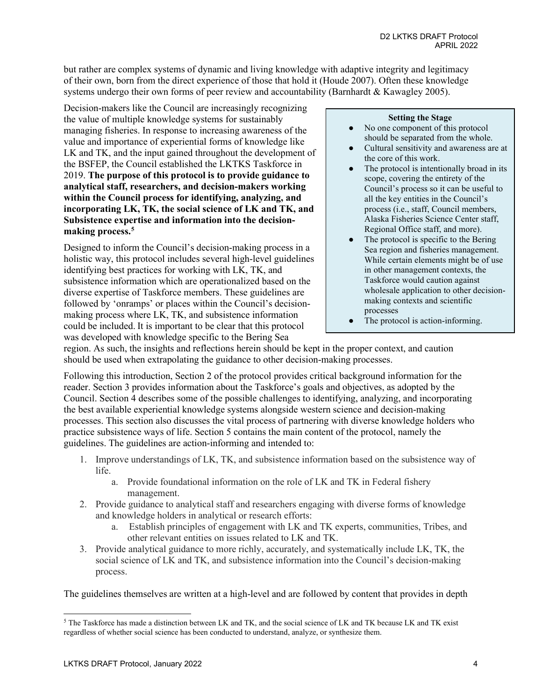but rather are complex systems of dynamic and living knowledge with adaptive integrity and legitimacy of their own, born from the direct experience of those that hold it (Houde 2007). Often these knowledge systems undergo their own forms of peer review and accountability (Barnhardt & Kawagley 2005).

Decision-makers like the Council are increasingly recognizing the value of multiple knowledge systems for sustainably managing fisheries. In response to increasing awareness of the value and importance of experiential forms of knowledge like LK and TK, and the input gained throughout the development of the BSFEP, the Council established the LKTKS Taskforce in 2019. **The purpose of this protocol is to provide guidance to analytical staff, researchers, and decision-makers working within the Council process for identifying, analyzing, and incorporating LK, TK, the social science of LK and TK, and Subsistence expertise and information into the decisionmaking process.[5](#page-3-0)**

Designed to inform the Council's decision-making process in a holistic way, this protocol includes several high-level guidelines identifying best practices for working with LK, TK, and subsistence information which are operationalized based on the diverse expertise of Taskforce members. These guidelines are followed by 'onramps' or places within the Council's decisionmaking process where LK, TK, and subsistence information could be included. It is important to be clear that this protocol was developed with knowledge specific to the Bering Sea

#### **Setting the Stage**

- No one component of this protocol should be separated from the whole.
- Cultural sensitivity and awareness are at the core of this work.
- The protocol is intentionally broad in its scope, covering the entirety of the Council's process so it can be useful to all the key entities in the Council's process (i.e., staff, Council members, Alaska Fisheries Science Center staff, Regional Office staff, and more).
- The protocol is specific to the Bering Sea region and fisheries management. While certain elements might be of use in other management contexts, the Taskforce would caution against wholesale application to other decisionmaking contexts and scientific processes
- The protocol is action-informing.

region. As such, the insights and reflections herein should be kept in the proper context, and caution should be used when extrapolating the guidance to other decision-making processes.

Following this introduction, Section 2 of the protocol provides critical background information for the reader. Section 3 provides information about the Taskforce's goals and objectives, as adopted by the Council. Section 4 describes some of the possible challenges to identifying, analyzing, and incorporating the best available experiential knowledge systems alongside western science and decision-making processes. This section also discusses the vital process of partnering with diverse knowledge holders who practice subsistence ways of life. Section 5 contains the main content of the protocol, namely the guidelines. The guidelines are action-informing and intended to:

- 1. Improve understandings of LK, TK, and subsistence information based on the subsistence way of life.
	- a. Provide foundational information on the role of LK and TK in Federal fishery management.
- 2. Provide guidance to analytical staff and researchers engaging with diverse forms of knowledge and knowledge holders in analytical or research efforts:
	- a. Establish principles of engagement with LK and TK experts, communities, Tribes, and other relevant entities on issues related to LK and TK.
- 3. Provide analytical guidance to more richly, accurately, and systematically include LK, TK, the social science of LK and TK, and subsistence information into the Council's decision-making process.

The guidelines themselves are written at a high-level and are followed by content that provides in depth

<span id="page-3-0"></span><sup>5</sup> The Taskforce has made a distinction between LK and TK, and the social science of LK and TK because LK and TK exist regardless of whether social science has been conducted to understand, analyze, or synthesize them.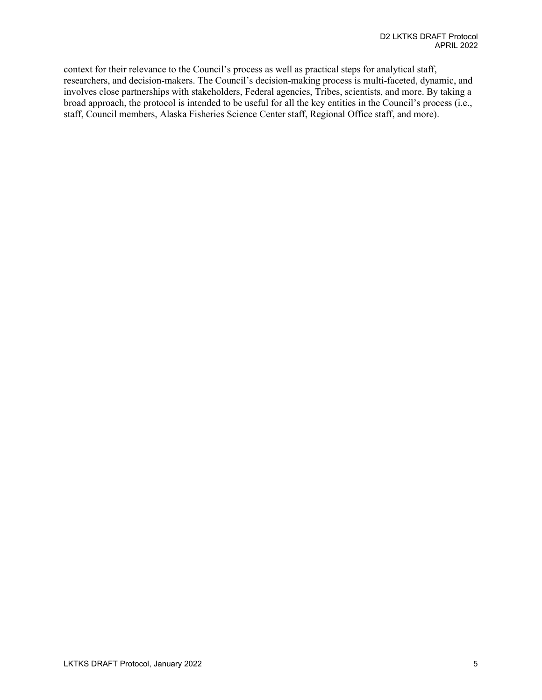context for their relevance to the Council's process as well as practical steps for analytical staff, researchers, and decision-makers. The Council's decision-making process is multi-faceted, dynamic, and involves close partnerships with stakeholders, Federal agencies, Tribes, scientists, and more. By taking a broad approach, the protocol is intended to be useful for all the key entities in the Council's process (i.e., staff, Council members, Alaska Fisheries Science Center staff, Regional Office staff, and more).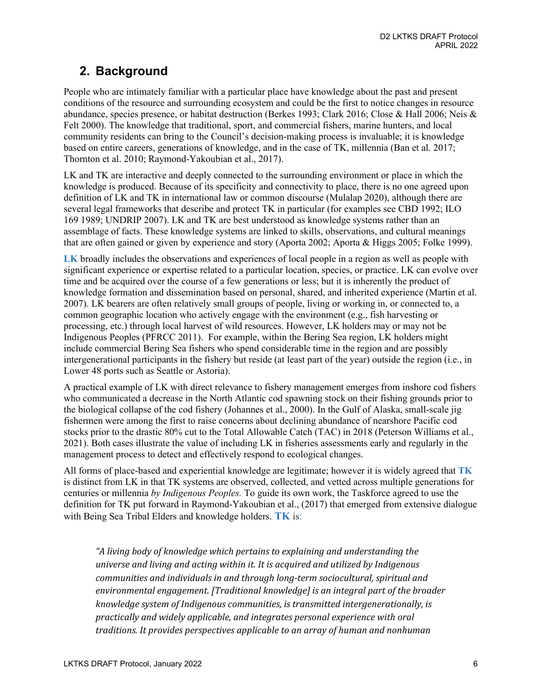# <span id="page-5-0"></span>**2. Background**

People who are intimately familiar with a particular place have knowledge about the past and present conditions of the resource and surrounding ecosystem and could be the first to notice changes in resource abundance, species presence, or habitat destruction (Berkes 1993; Clark 2016; Close & Hall 2006; Neis & Felt 2000). The knowledge that traditional, sport, and commercial fishers, marine hunters, and local community residents can bring to the Council's decision-making process is invaluable; it is knowledge based on entire careers, generations of knowledge, and in the case of TK, millennia (Ban et al. 2017; Thornton et al. 2010; Raymond-Yakoubian et al., 2017).

LK and TK are interactive and deeply connected to the surrounding environment or place in which the knowledge is produced. Because of its specificity and connectivity to place, there is no one agreed upon definition of LK and TK in international law or common discourse (Mulalap 2020), although there are several legal frameworks that describe and protect TK in particular (for examples see CBD 1992; ILO 169 1989; UNDRIP 2007). LK and TK are best understood as knowledge systems rather than an assemblage of facts. These knowledge systems are linked to skills, observations, and cultural meanings that are often gained or given by experience and story (Aporta 2002; Aporta & Higgs 2005; Folke 1999).

**LK** broadly includes the observations and experiences of local people in a region as well as people with significant experience or expertise related to a particular location, species, or practice. LK can evolve over time and be acquired over the course of a few generations or less; but it is inherently the product of knowledge formation and dissemination based on personal, shared, and inherited experience (Martin et al. 2007). LK bearers are often relatively small groups of people, living or working in, or connected to, a common geographic location who actively engage with the environment (e.g., fish harvesting or processing, etc.) through local harvest of wild resources. However, LK holders may or may not be Indigenous Peoples (PFRCC 2011). For example, within the Bering Sea region, LK holders might include commercial Bering Sea fishers who spend considerable time in the region and are possibly intergenerational participants in the fishery but reside (at least part of the year) outside the region (i.e., in Lower 48 ports such as Seattle or Astoria).

A practical example of LK with direct relevance to fishery management emerges from inshore cod fishers who communicated a decrease in the North Atlantic cod spawning stock on their fishing grounds prior to the biological collapse of the cod fishery (Johannes et al., 2000). In the Gulf of Alaska, small-scale jig fishermen were among the first to raise concerns about declining abundance of nearshore Pacific cod stocks prior to the drastic 80% cut to the Total Allowable Catch (TAC) in 2018 (Peterson Williams et al., 2021). Both cases illustrate the value of including LK in fisheries assessments early and regularly in the management process to detect and effectively respond to ecological changes.

All forms of place-based and experiential knowledge are legitimate; however it is widely agreed that **TK** is distinct from LK in that TK systems are observed, collected, and vetted across multiple generations for centuries or millennia *by Indigenous Peoples.* To guide its own work, the Taskforce agreed to use the definition for TK put forward in Raymond-Yakoubian et al., (2017) that emerged from extensive dialogue with Being Sea Tribal Elders and knowledge holders. **TK** is:

*"A living body of knowledge which pertains to explaining and understanding the universe and living and acting within it. It is acquired and utilized by Indigenous communities and individuals in and through long-term sociocultural, spiritual and environmental engagement. [Traditional knowledge] is an integral part of the broader knowledge system of Indigenous communities, is transmitted intergenerationally, is practically and widely applicable, and integrates personal experience with oral traditions. It provides perspectives applicable to an array of human and nonhuman*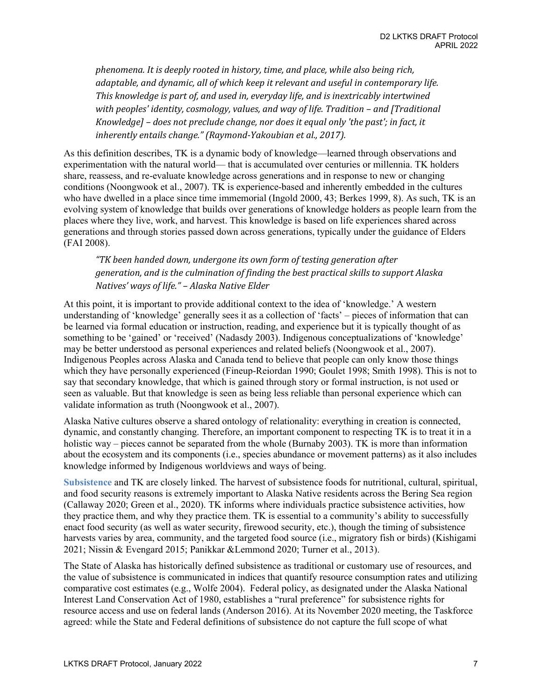*phenomena. It is deeply rooted in history, time, and place, while also being rich, adaptable, and dynamic, all of which keep it relevant and useful in contemporary life. This knowledge is part of, and used in, everyday life, and is inextricably intertwined with peoples' identity, cosmology, values, and way of life. Tradition – and [Traditional Knowledge] – does not preclude change, nor does it equal only 'the past'; in fact, it inherently entails change." (Raymond-Yakoubian et al., 2017).*

As this definition describes, TK is a dynamic body of knowledge—learned through observations and experimentation with the natural world— that is accumulated over centuries or millennia. TK holders share, reassess, and re-evaluate knowledge across generations and in response to new or changing conditions (Noongwook et al., 2007). TK is experience-based and inherently embedded in the cultures who have dwelled in a place since time immemorial (Ingold 2000, 43; Berkes 1999, 8). As such, TK is an evolving system of knowledge that builds over generations of knowledge holders as people learn from the places where they live, work, and harvest. This knowledge is based on life experiences shared across generations and through stories passed down across generations, typically under the guidance of Elders (FAI 2008).

*"TK been handed down, undergone its own form of testing generation after generation, and is the culmination of finding the best practical skills to support Alaska Natives' ways of life." – Alaska Native Elder*

At this point, it is important to provide additional context to the idea of 'knowledge.' A western understanding of 'knowledge' generally sees it as a collection of 'facts' – pieces of information that can be learned via formal education or instruction, reading, and experience but it is typically thought of as something to be 'gained' or 'received' (Nadasdy 2003). Indigenous conceptualizations of 'knowledge' may be better understood as personal experiences and related beliefs (Noongwook et al., 2007). Indigenous Peoples across Alaska and Canada tend to believe that people can only know those things which they have personally experienced (Fineup-Reiordan 1990; Goulet 1998; Smith 1998). This is not to say that secondary knowledge, that which is gained through story or formal instruction, is not used or seen as valuable. But that knowledge is seen as being less reliable than personal experience which can validate information as truth (Noongwook et al., 2007).

Alaska Native cultures observe a shared ontology of relationality: everything in creation is connected, dynamic, and constantly changing. Therefore, an important component to respecting TK is to treat it in a holistic way – pieces cannot be separated from the whole (Burnaby 2003). TK is more than information about the ecosystem and its components (i.e., species abundance or movement patterns) as it also includes knowledge informed by Indigenous worldviews and ways of being.

**Subsistence** and TK are closely linked. The harvest of subsistence foods for nutritional, cultural, spiritual, and food security reasons is extremely important to Alaska Native residents across the Bering Sea region (Callaway 2020; Green et al., 2020). TK informs where individuals practice subsistence activities, how they practice them, and why they practice them. TK is essential to a community's ability to successfully enact food security (as well as water security, firewood security, etc.), though the timing of subsistence harvests varies by area, community, and the targeted food source (i.e., migratory fish or birds) (Kishigami 2021; Nissin & Evengard 2015; Panikkar &Lemmond 2020; Turner et al., 2013).

The State of Alaska has historically defined subsistence as traditional or customary use of resources, and the value of subsistence is communicated in indices that quantify resource consumption rates and utilizing comparative cost estimates (e.g., Wolfe 2004). Federal policy, as designated under the Alaska National Interest Land Conservation Act of 1980, establishes a "rural preference" for subsistence rights for resource access and use on federal lands (Anderson 2016). At its November 2020 meeting, the Taskforce agreed: while the State and Federal definitions of subsistence do not capture the full scope of what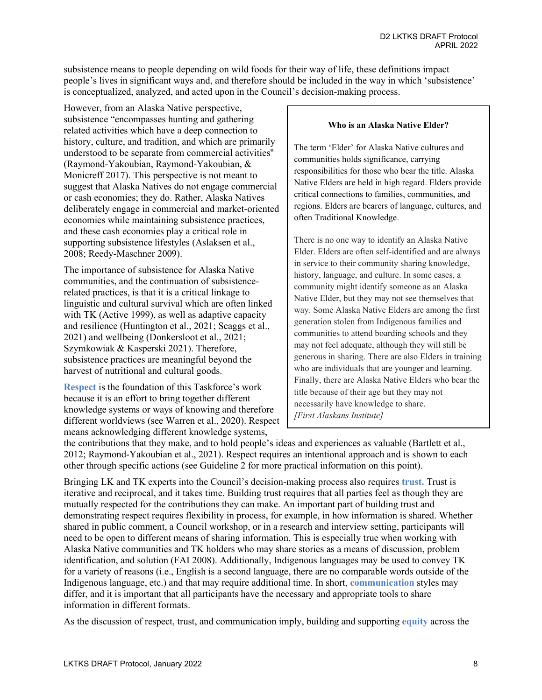subsistence means to people depending on wild foods for their way of life, these definitions impact people's lives in significant ways and, and therefore should be included in the way in which 'subsistence' is conceptualized, analyzed, and acted upon in the Council's decision-making process.

However, from an Alaska Native perspective, subsistence "encompasses hunting and gathering related activities which have a deep connection to history, culture, and tradition, and which are primarily understood to be separate from commercial activities'' (Raymond-Yakoubian, Raymond-Yakoubian, & Monicreff 2017). This perspective is not meant to suggest that Alaska Natives do not engage commercial or cash economies; they do. Rather, Alaska Natives deliberately engage in commercial and market-oriented economies while maintaining subsistence practices, and these cash economies play a critical role in supporting subsistence lifestyles (Aslaksen et al., 2008; Reedy-Maschner 2009).

The importance of subsistence for Alaska Native communities, and the continuation of subsistencerelated practices, is that it is a critical linkage to linguistic and cultural survival which are often linked with TK (Active 1999), as well as adaptive capacity and resilience (Huntington et al., 2021; Scaggs et al., 2021) and wellbeing (Donkersloot et al., 2021; Szymkowiak & Kasperski 2021). Therefore, subsistence practices are meaningful beyond the harvest of nutritional and cultural goods.

**Respect** is the foundation of this Taskforce's work because it is an effort to bring together different knowledge systems or ways of knowing and therefore different worldviews (see Warren et al., 2020). Respect means acknowledging different knowledge systems,

#### **Who is an Alaska Native Elder?**

The term 'Elder' for Alaska Native cultures and communities holds significance, carrying responsibilities for those who bear the title. Alaska Native Elders are held in high regard. Elders provide critical connections to families, communities, and regions. Elders are bearers of language, cultures, and often Traditional Knowledge.

There is no one way to identify an Alaska Native Elder. Elders are often self-identified and are always in service to their community sharing knowledge, history, language, and culture. In some cases, a community might identify someone as an Alaska Native Elder, but they may not see themselves that way. Some Alaska Native Elders are among the first generation stolen from Indigenous families and communities to attend boarding schools and they may not feel adequate, although they will still be generous in sharing. There are also Elders in training who are individuals that are younger and learning. Finally, there are Alaska Native Elders who bear the title because of their age but they may not necessarily have knowledge to share. *[First Alaskans Institute]*

the contributions that they make, and to hold people's ideas and experiences as valuable (Bartlett et al., 2012; Raymond-Yakoubian et al., 2021). Respect requires an intentional approach and is shown to each other through specific actions (see Guideline 2 for more practical information on this point).

Bringing LK and TK experts into the Council's decision-making process also requires **trust.** Trust is iterative and reciprocal, and it takes time. Building trust requires that all parties feel as though they are mutually respected for the contributions they can make. An important part of building trust and demonstrating respect requires flexibility in process, for example, in how information is shared. Whether shared in public comment, a Council workshop, or in a research and interview setting, participants will need to be open to different means of sharing information. This is especially true when working with Alaska Native communities and TK holders who may share stories as a means of discussion, problem identification, and solution (FAI 2008). Additionally, Indigenous languages may be used to convey TK for a variety of reasons (i.e., English is a second language, there are no comparable words outside of the Indigenous language, etc.) and that may require additional time. In short, **communication** styles may differ, and it is important that all participants have the necessary and appropriate tools to share information in different formats.

As the discussion of respect, trust, and communication imply, building and supporting **equity** across the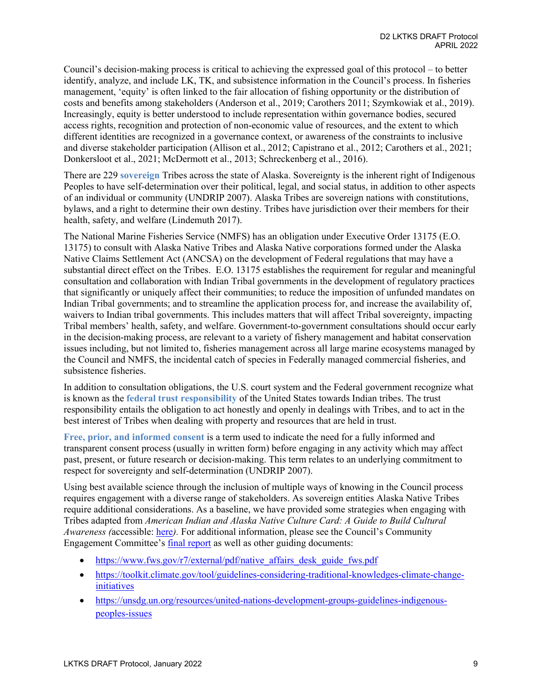Council's decision-making process is critical to achieving the expressed goal of this protocol – to better identify, analyze, and include LK, TK, and subsistence information in the Council's process. In fisheries management, 'equity' is often linked to the fair allocation of fishing opportunity or the distribution of costs and benefits among stakeholders (Anderson et al., 2019; Carothers 2011; Szymkowiak et al., 2019). Increasingly, equity is better understood to include representation within governance bodies, secured access rights, recognition and protection of non-economic value of resources, and the extent to which different identities are recognized in a governance context, or awareness of the constraints to inclusive and diverse stakeholder participation (Allison et al., 2012; Capistrano et al., 2012; Carothers et al., 2021; Donkersloot et al., 2021; McDermott et al., 2013; Schreckenberg et al., 2016).

There are 229 **sovereign** Tribes across the state of Alaska. Sovereignty is the inherent right of Indigenous Peoples to have self-determination over their political, legal, and social status, in addition to other aspects of an individual or community (UNDRIP 2007). Alaska Tribes are sovereign nations with constitutions, bylaws, and a right to determine their own destiny. Tribes have jurisdiction over their members for their health, safety, and welfare (Lindemuth 2017).

The National Marine Fisheries Service (NMFS) has an obligation under Executive Order 13175 (E.O. 13175) to consult with Alaska Native Tribes and Alaska Native corporations formed under the Alaska Native Claims Settlement Act (ANCSA) on the development of Federal regulations that may have a substantial direct effect on the Tribes. E.O. 13175 establishes the requirement for regular and meaningful consultation and collaboration with Indian Tribal governments in the development of regulatory practices that significantly or uniquely affect their communities; to reduce the imposition of unfunded mandates on Indian Tribal governments; and to streamline the application process for, and increase the availability of, waivers to Indian tribal governments. This includes matters that will affect Tribal sovereignty, impacting Tribal members' health, safety, and welfare. Government-to-government consultations should occur early in the decision-making process, are relevant to a variety of fishery management and habitat conservation issues including, but not limited to, fisheries management across all large marine ecosystems managed by the Council and NMFS, the incidental catch of species in Federally managed commercial fisheries, and subsistence fisheries.

In addition to consultation obligations, the U.S. court system and the Federal government recognize what is known as the **federal trust responsibility** of the United States towards Indian tribes. The trust responsibility entails the obligation to act honestly and openly in dealings with Tribes, and to act in the best interest of Tribes when dealing with property and resources that are held in trust.

**Free, prior, and informed consent** is a term used to indicate the need for a fully informed and transparent consent process (usually in written form) before engaging in any activity which may affect past, present, or future research or decision-making. This term relates to an underlying commitment to respect for sovereignty and self-determination (UNDRIP 2007).

Using best available science through the inclusion of multiple ways of knowing in the Council process requires engagement with a diverse range of stakeholders. As sovereign entities Alaska Native Tribes require additional considerations. As a baseline, we have provided some strategies when engaging with Tribes adapted from *American Indian and Alaska Native Culture Card: A Guide to Build Cultural Awareness (*accessible: [here](https://store.samhsa.gov/sites/default/files/d7/priv/sma08-4354.pdf)*).* For additional information, please see the Council's Community Engagement Committee's final [report](https://meetings.npfmc.org/CommentReview/DownloadFile?p=7b10e15f-e306-446b-9f49-21b33e04ff1a.pdf&fileName=D1%20CEC%20Report%20February%202021.pdf) as well as other guiding documents:

- https://www.fws.gov/r7/external/pdf/native affairs desk guide fws.pdf
- [https://toolkit.climate.gov/tool/guidelines-considering-traditional-knowledges-climate-change](https://toolkit.climate.gov/tool/guidelines-considering-traditional-knowledges-climate-change-initiatives)[initiatives](https://toolkit.climate.gov/tool/guidelines-considering-traditional-knowledges-climate-change-initiatives)
- [https://unsdg.un.org/resources/united-nations-development-groups-guidelines-indigenous](https://unsdg.un.org/resources/united-nations-development-groups-guidelines-indigenous-peoples-issues)[peoples-issues](https://unsdg.un.org/resources/united-nations-development-groups-guidelines-indigenous-peoples-issues)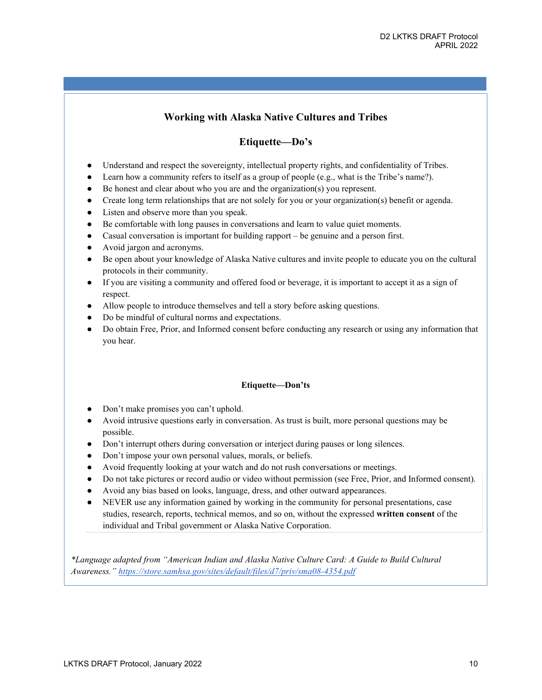## **Working with Alaska Native Cultures and Tribes**

## **Etiquette—Do's**

- Understand and respect the sovereignty, intellectual property rights, and confidentiality of Tribes.
- Learn how a community refers to itself as a group of people (e.g., what is the Tribe's name?).
- Be honest and clear about who you are and the organization(s) you represent.
- Create long term relationships that are not solely for you or your organization(s) benefit or agenda.
- Listen and observe more than you speak.
- Be comfortable with long pauses in conversations and learn to value quiet moments.
- Casual conversation is important for building rapport be genuine and a person first.
- Avoid jargon and acronyms.
- Be open about your knowledge of Alaska Native cultures and invite people to educate you on the cultural protocols in their community.
- If you are visiting a community and offered food or beverage, it is important to accept it as a sign of respect.
- Allow people to introduce themselves and tell a story before asking questions.
- Do be mindful of cultural norms and expectations.
- Do obtain Free, Prior, and Informed consent before conducting any research or using any information that you hear.

#### **Etiquette—Don'ts**

- Don't make promises you can't uphold.
- Avoid intrusive questions early in conversation. As trust is built, more personal questions may be possible.
- Don't interrupt others during conversation or interject during pauses or long silences.
- Don't impose your own personal values, morals, or beliefs.
- Avoid frequently looking at your watch and do not rush conversations or meetings.
- Do not take pictures or record audio or video without permission (see Free, Prior, and Informed consent).
- Avoid any bias based on looks, language, dress, and other outward appearances.
- NEVER use any information gained by working in the community for personal presentations, case studies, research, reports, technical memos, and so on, without the expressed **written consent** of the individual and Tribal government or Alaska Native Corporation.

*\*Language adapted from "American Indian and Alaska Native Culture Card: A Guide to Build Cultural Awareness.["](https://store.samhsa.gov/sites/default/files/d7/priv/sma08-4354.pdf) <https://store.samhsa.gov/sites/default/files/d7/priv/sma08-4354.pdf>*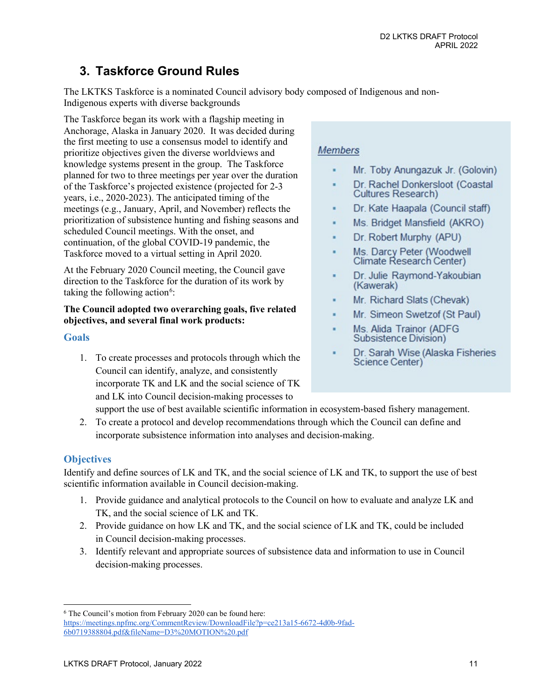# <span id="page-10-0"></span>**3. Taskforce Ground Rules**

The LKTKS Taskforce is a nominated Council advisory body composed of Indigenous and non-Indigenous experts with diverse backgrounds

The Taskforce began its work with a flagship meeting in Anchorage, Alaska in January 2020. It was decided during the first meeting to use a consensus model to identify and prioritize objectives given the diverse worldviews and knowledge systems present in the group. The Taskforce planned for two to three meetings per year over the duration of the Taskforce's projected existence (projected for 2-3 years, i.e., 2020-2023). The anticipated timing of the meetings (e.g., January, April, and November) reflects the prioritization of subsistence hunting and fishing seasons and scheduled Council meetings. With the onset, and continuation, of the global COVID-19 pandemic, the Taskforce moved to a virtual setting in April 2020.

At the February 2020 Council meeting, the Council gave direction to the Taskforce for the duration of its work by taking the following action<sup>[6](#page-10-1)</sup>:

## **The Council adopted two overarching goals, five related objectives, and several final work products:**

## **Goals**

1. To create processes and protocols through which the Council can identify, analyze, and consistently incorporate TK and LK and the social science of TK and LK into Council decision-making processes to

# **Members**

- Mr. Toby Anungazuk Jr. (Golovin)
- Dr. Rachel Donkersloot (Coastal **Cultures Research)**
- Dr. Kate Haapala (Council staff)
- Ms. Bridget Mansfield (AKRO)
- Dr. Robert Murphy (APU)
- Ms. Darcy Peter (Woodwell<br>Climate Research Center)
- Dr. Julie Raymond-Yakoubian (Kawerak)
- Mr. Richard Slats (Chevak)
- Mr. Simeon Swetzof (St Paul)
- Ms. Alida Trainor (ADFG Subsistence Division)
- Dr. Sarah Wise (Alaska Fisheries Science Center)

support the use of best available scientific information in ecosystem-based fishery management.

2. To create a protocol and develop recommendations through which the Council can define and incorporate subsistence information into analyses and decision-making.

## **Objectives**

Identify and define sources of LK and TK, and the social science of LK and TK, to support the use of best scientific information available in Council decision-making.

- 1. Provide guidance and analytical protocols to the Council on how to evaluate and analyze LK and TK, and the social science of LK and TK.
- 2. Provide guidance on how LK and TK, and the social science of LK and TK, could be included in Council decision-making processes.
- 3. Identify relevant and appropriate sources of subsistence data and information to use in Council decision-making processes.

<span id="page-10-1"></span><sup>6</sup> The Council's motion from February 2020 can be found here: [https://meetings.npfmc.org/CommentReview/DownloadFile?p=ce213a15-6672-4d0b-9fad-](https://meetings.npfmc.org/CommentReview/DownloadFile?p=ce213a15-6672-4d0b-9fad-6b0719388804.pdf&fileName=D3%20MOTION%20.pdf)[6b0719388804.pdf&fileName=D3%20MOTION%20.pdf](https://meetings.npfmc.org/CommentReview/DownloadFile?p=ce213a15-6672-4d0b-9fad-6b0719388804.pdf&fileName=D3%20MOTION%20.pdf)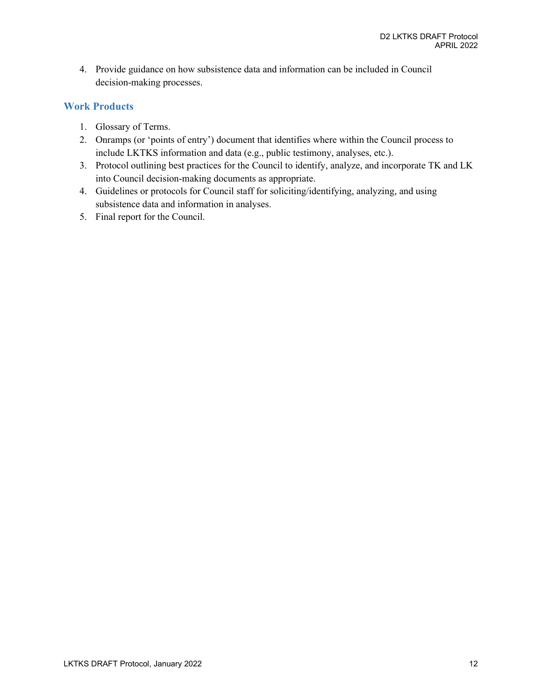4. Provide guidance on how subsistence data and information can be included in Council decision-making processes.

## **Work Products**

- 1. Glossary of Terms.
- 2. Onramps (or 'points of entry') document that identifies where within the Council process to include LKTKS information and data (e.g., public testimony, analyses, etc.).
- 3. Protocol outlining best practices for the Council to identify, analyze, and incorporate TK and LK into Council decision-making documents as appropriate.
- 4. Guidelines or protocols for Council staff for soliciting/identifying, analyzing, and using subsistence data and information in analyses.
- 5. Final report for the Council.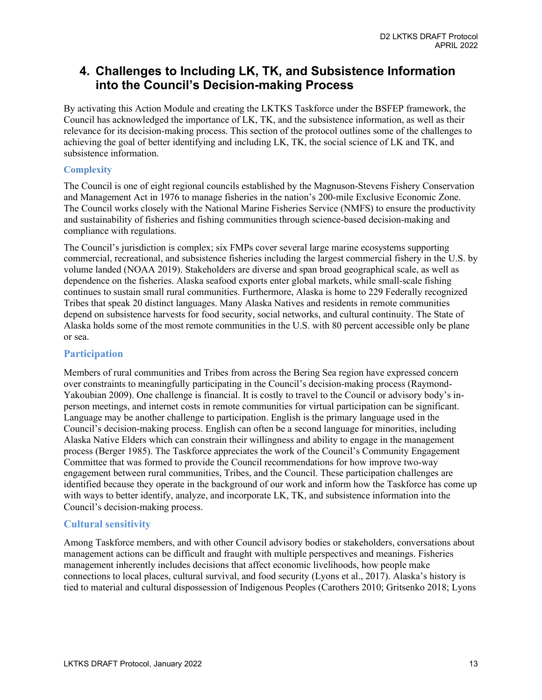# <span id="page-12-0"></span>**4. Challenges to Including LK, TK, and Subsistence Information into the Council's Decision-making Process**

By activating this Action Module and creating the LKTKS Taskforce under the BSFEP framework, the Council has acknowledged the importance of LK, TK, and the subsistence information, as well as their relevance for its decision-making process. This section of the protocol outlines some of the challenges to achieving the goal of better identifying and including LK, TK, the social science of LK and TK, and subsistence information.

### **Complexity**

The Council is one of eight regional councils established by the Magnuson-Stevens Fishery Conservation and Management Act in 1976 to manage fisheries in the nation's 200-mile Exclusive Economic Zone. The Council works closely with the National Marine Fisheries Service (NMFS) to ensure the productivity and sustainability of fisheries and fishing communities through science-based decision-making and compliance with regulations.

The Council's jurisdiction is complex; six FMPs cover several large marine ecosystems supporting commercial, recreational, and subsistence fisheries including the largest commercial fishery in the U.S. by volume landed (NOAA 2019). Stakeholders are diverse and span broad geographical scale, as well as dependence on the fisheries. Alaska seafood exports enter global markets, while small-scale fishing continues to sustain small rural communities. Furthermore, Alaska is home to 229 Federally recognized Tribes that speak 20 distinct languages. Many Alaska Natives and residents in remote communities depend on subsistence harvests for food security, social networks, and cultural continuity. The State of Alaska holds some of the most remote communities in the U.S. with 80 percent accessible only be plane or sea.

## **Participation**

Members of rural communities and Tribes from across the Bering Sea region have expressed concern over constraints to meaningfully participating in the Council's decision-making process (Raymond-Yakoubian 2009). One challenge is financial. It is costly to travel to the Council or advisory body's inperson meetings, and internet costs in remote communities for virtual participation can be significant. Language may be another challenge to participation. English is the primary language used in the Council's decision-making process. English can often be a second language for minorities, including Alaska Native Elders which can constrain their willingness and ability to engage in the management process (Berger 1985). The Taskforce appreciates the work of the Council's Community Engagement Committee that was formed to provide the Council recommendations for how improve two-way engagement between rural communities, Tribes, and the Council. These participation challenges are identified because they operate in the background of our work and inform how the Taskforce has come up with ways to better identify, analyze, and incorporate LK, TK, and subsistence information into the Council's decision-making process.

## **Cultural sensitivity**

Among Taskforce members, and with other Council advisory bodies or stakeholders, conversations about management actions can be difficult and fraught with multiple perspectives and meanings. Fisheries management inherently includes decisions that affect economic livelihoods, how people make connections to local places, cultural survival, and food security (Lyons et al., 2017). Alaska's history is tied to material and cultural dispossession of Indigenous Peoples (Carothers 2010; Gritsenko 2018; Lyons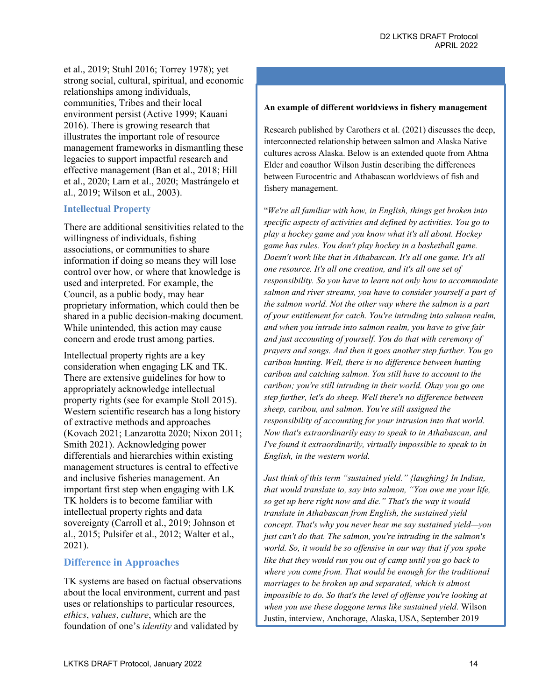et al., 2019; Stuhl 2016; Torrey 1978); yet strong social, cultural, spiritual, and economic relationships among individuals, communities, Tribes and their local environment persist (Active 1999; Kauani 2016). There is growing research that illustrates the important role of resource management frameworks in dismantling these legacies to support impactful research and effective management (Ban et al., 2018; Hill et al., 2020; Lam et al., 2020; Mastrángelo et al., 2019; Wilson et al., 2003).

### **Intellectual Property**

There are additional sensitivities related to the willingness of individuals, fishing associations, or communities to share information if doing so means they will lose control over how, or where that knowledge is used and interpreted. For example, the Council, as a public body, may hear proprietary information, which could then be shared in a public decision-making document. While unintended, this action may cause concern and erode trust among parties.

Intellectual property rights are a key consideration when engaging LK and TK. There are extensive guidelines for how to appropriately acknowledge intellectual property rights (see for example Stoll 2015). Western scientific research has a long history of extractive methods and approaches (Kovach 2021; Lanzarotta 2020; Nixon 2011; Smith 2021). Acknowledging power differentials and hierarchies within existing management structures is central to effective and inclusive fisheries management. An important first step when engaging with LK TK holders is to become familiar with intellectual property rights and data sovereignty (Carroll et al., 2019; Johnson et al., 2015; Pulsifer et al., 2012; Walter et al., 2021).

## **Difference in Approaches**

TK systems are based on factual observations about the local environment, current and past uses or relationships to particular resources, *ethics*, *values*, *culture*, which are the foundation of one's *identity* and validated by

#### **An example of different worldviews in fishery management**

Research published by Carothers et al. (2021) discusses the deep, interconnected relationship between salmon and Alaska Native cultures across Alaska. Below is an extended quote from Ahtna Elder and coauthor Wilson Justin describing the differences between Eurocentric and Athabascan worldviews of fish and fishery management.

"*We're all familiar with how, in English, things get broken into specific aspects of activities and defined by activities. You go to play a hockey game and you know what it's all about. Hockey game has rules. You don't play hockey in a basketball game. Doesn't work like that in Athabascan. It's all one game. It's all one resource. It's all one creation, and it's all one set of responsibility. So you have to learn not only how to accommodate salmon and river streams, you have to consider yourself a part of the salmon world. Not the other way where the salmon is a part of your entitlement for catch. You're intruding into salmon realm, and when you intrude into salmon realm, you have to give fair and just accounting of yourself. You do that with ceremony of prayers and songs. And then it goes another step further. You go caribou hunting. Well, there is no difference between hunting caribou and catching salmon. You still have to account to the caribou; you're still intruding in their world. Okay you go one step further, let's do sheep. Well there's no difference between sheep, caribou, and salmon. You're still assigned the responsibility of accounting for your intrusion into that world. Now that's extraordinarily easy to speak to in Athabascan, and I've found it extraordinarily, virtually impossible to speak to in English, in the western world.*

*Just think of this term "sustained yield." {laughing} In Indian, that would translate to, say into salmon, "You owe me your life, so get up here right now and die." That's the way it would translate in Athabascan from English, the sustained yield concept. That's why you never hear me say sustained yield—you just can't do that. The salmon, you're intruding in the salmon's world. So, it would be so offensive in our way that if you spoke like that they would run you out of camp until you go back to where you come from. That would be enough for the traditional marriages to be broken up and separated, which is almost impossible to do. So that's the level of offense you're looking at when you use these doggone terms like sustained yield.* Wilson Justin, interview, Anchorage, Alaska, USA, September 2019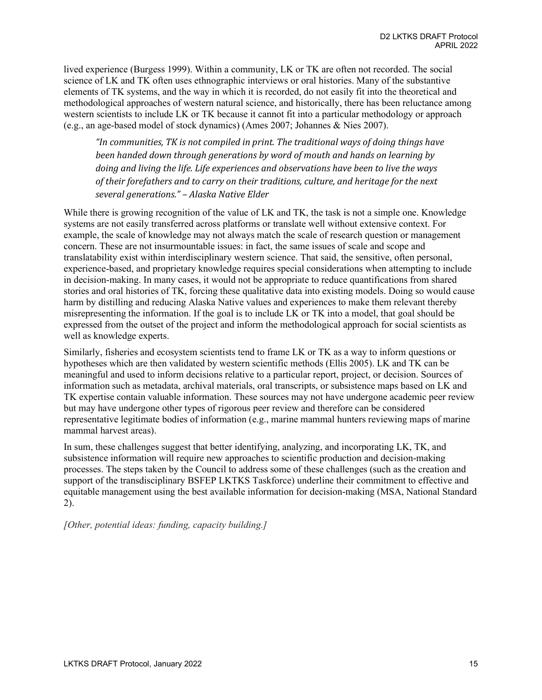lived experience (Burgess 1999). Within a community, LK or TK are often not recorded. The social science of LK and TK often uses ethnographic interviews or oral histories. Many of the substantive elements of TK systems, and the way in which it is recorded, do not easily fit into the theoretical and methodological approaches of western natural science, and historically, there has been reluctance among western scientists to include LK or TK because it cannot fit into a particular methodology or approach (e.g., an age-based model of stock dynamics) (Ames 2007; Johannes & Nies 2007).

*"In communities, TK is not compiled in print. The traditional ways of doing things have been handed down through generations by word of mouth and hands on learning by doing and living the life. Life experiences and observations have been to live the ways of their forefathers and to carry on their traditions, culture, and heritage for the next several generations." – Alaska Native Elder*

While there is growing recognition of the value of LK and TK, the task is not a simple one. Knowledge systems are not easily transferred across platforms or translate well without extensive context. For example, the scale of knowledge may not always match the scale of research question or management concern. These are not insurmountable issues: in fact, the same issues of scale and scope and translatability exist within interdisciplinary western science. That said, the sensitive, often personal, experience-based, and proprietary knowledge requires special considerations when attempting to include in decision-making. In many cases, it would not be appropriate to reduce quantifications from shared stories and oral histories of TK, forcing these qualitative data into existing models. Doing so would cause harm by distilling and reducing Alaska Native values and experiences to make them relevant thereby misrepresenting the information. If the goal is to include LK or TK into a model, that goal should be expressed from the outset of the project and inform the methodological approach for social scientists as well as knowledge experts.

Similarly, fisheries and ecosystem scientists tend to frame LK or TK as a way to inform questions or hypotheses which are then validated by western scientific methods (Ellis 2005). LK and TK can be meaningful and used to inform decisions relative to a particular report, project, or decision. Sources of information such as metadata, archival materials, oral transcripts, or subsistence maps based on LK and TK expertise contain valuable information. These sources may not have undergone academic peer review but may have undergone other types of rigorous peer review and therefore can be considered representative legitimate bodies of information (e.g., marine mammal hunters reviewing maps of marine mammal harvest areas).

In sum, these challenges suggest that better identifying, analyzing, and incorporating LK, TK, and subsistence information will require new approaches to scientific production and decision-making processes. The steps taken by the Council to address some of these challenges (such as the creation and support of the transdisciplinary BSFEP LKTKS Taskforce) underline their commitment to effective and equitable management using the best available information for decision-making (MSA, National Standard 2).

*[Other, potential ideas: funding, capacity building.]*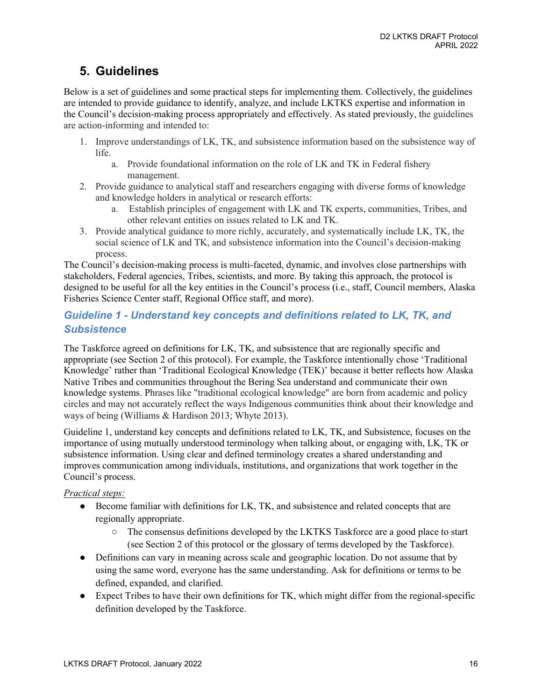# <span id="page-15-0"></span>**5. Guidelines**

Below is a set of guidelines and some practical steps for implementing them. Collectively, the guidelines are intended to provide guidance to identify, analyze, and include LKTKS expertise and information in the Council's decision-making process appropriately and effectively. As stated previously, the guidelines are action-informing and intended to:

- 1. Improve understandings of LK, TK, and subsistence information based on the subsistence way of life.
	- a. Provide foundational information on the role of LK and TK in Federal fishery management.
- 2. Provide guidance to analytical staff and researchers engaging with diverse forms of knowledge and knowledge holders in analytical or research efforts:
	- a. Establish principles of engagement with LK and TK experts, communities, Tribes, and other relevant entities on issues related to LK and TK.
- 3. Provide analytical guidance to more richly, accurately, and systematically include LK, TK, the social science of LK and TK, and subsistence information into the Council's decision-making process.

The Council's decision-making process is multi-faceted, dynamic, and involves close partnerships with stakeholders, Federal agencies, Tribes, scientists, and more. By taking this approach, the protocol is designed to be useful for all the key entities in the Council's process (i.e., staff, Council members, Alaska Fisheries Science Center staff, Regional Office staff, and more).

# <span id="page-15-1"></span>*Guideline 1 - Understand key concepts and definitions related to LK, TK, and Subsistence*

The Taskforce agreed on definitions for LK, TK, and subsistence that are regionally specific and appropriate (see Section 2 of this protocol). For example, the Taskforce intentionally chose 'Traditional Knowledge' rather than 'Traditional Ecological Knowledge (TEK)' because it better reflects how Alaska Native Tribes and communities throughout the Bering Sea understand and communicate their own knowledge systems. Phrases like "traditional ecological knowledge" are born from academic and policy circles and may not accurately reflect the ways Indigenous communities think about their knowledge and ways of being (Williams & Hardison 2013; Whyte 2013).

Guideline 1, understand key concepts and definitions related to LK, TK, and Subsistence, focuses on the importance of using mutually understood terminology when talking about, or engaging with, LK, TK or subsistence information. Using clear and defined terminology creates a shared understanding and improves communication among individuals, institutions, and organizations that work together in the Council's process.

## *Practical steps:*

- Become familiar with definitions for LK, TK, and subsistence and related concepts that are regionally appropriate.
	- The consensus definitions developed by the LKTKS Taskforce are a good place to start (see Section 2 of this protocol or the glossary of terms developed by the Taskforce).
- Definitions can vary in meaning across scale and geographic location. Do not assume that by using the same word, everyone has the same understanding. Ask for definitions or terms to be defined, expanded, and clarified.
- Expect Tribes to have their own definitions for TK, which might differ from the regional-specific definition developed by the Taskforce.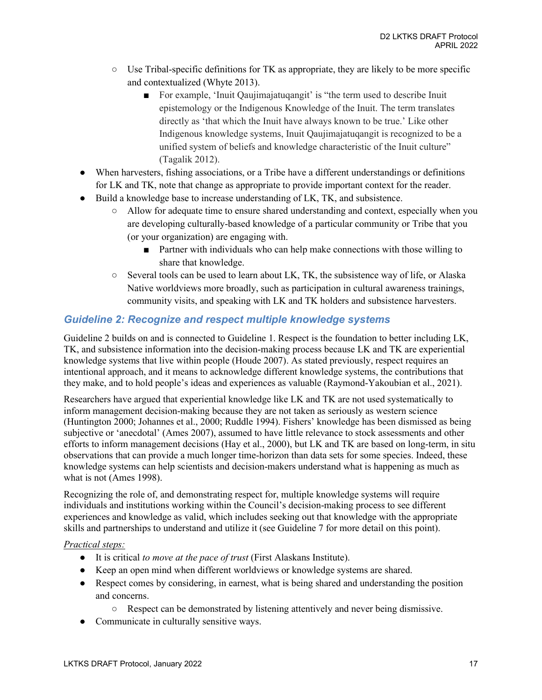- $\circ$  Use Tribal-specific definitions for TK as appropriate, they are likely to be more specific and contextualized (Whyte 2013).
	- For example, 'Inuit Qaujimajatuqangit' is "the term used to describe Inuit epistemology or the Indigenous Knowledge of the Inuit. The term translates directly as 'that which the Inuit have always known to be true.' Like other Indigenous knowledge systems, Inuit Qaujimajatuqangit is recognized to be a unified system of beliefs and knowledge characteristic of the Inuit culture" (Tagalik 2012).
- When harvesters, fishing associations, or a Tribe have a different understandings or definitions for LK and TK, note that change as appropriate to provide important context for the reader.
- Build a knowledge base to increase understanding of LK, TK, and subsistence.
	- Allow for adequate time to ensure shared understanding and context, especially when you are developing culturally-based knowledge of a particular community or Tribe that you (or your organization) are engaging with.
		- Partner with individuals who can help make connections with those willing to share that knowledge.
	- Several tools can be used to learn about LK, TK, the subsistence way of life, or Alaska Native worldviews more broadly, such as participation in cultural awareness trainings, community visits, and speaking with LK and TK holders and subsistence harvesters.

# <span id="page-16-0"></span>*Guideline 2: Recognize and respect multiple knowledge systems*

Guideline 2 builds on and is connected to Guideline 1. Respect is the foundation to better including LK, TK, and subsistence information into the decision-making process because LK and TK are experiential knowledge systems that live within people (Houde 2007). As stated previously, respect requires an intentional approach, and it means to acknowledge different knowledge systems, the contributions that they make, and to hold people's ideas and experiences as valuable (Raymond-Yakoubian et al., 2021).

Researchers have argued that experiential knowledge like LK and TK are not used systematically to inform management decision-making because they are not taken as seriously as western science (Huntington 2000; Johannes et al., 2000; Ruddle 1994). Fishers' knowledge has been dismissed as being subjective or 'anecdotal' (Ames 2007), assumed to have little relevance to stock assessments and other efforts to inform management decisions (Hay et al., 2000), but LK and TK are based on long-term, in situ observations that can provide a much longer time-horizon than data sets for some species. Indeed, these knowledge systems can help scientists and decision-makers understand what is happening as much as what is not (Ames 1998).

Recognizing the role of, and demonstrating respect for, multiple knowledge systems will require individuals and institutions working within the Council's decision-making process to see different experiences and knowledge as valid, which includes seeking out that knowledge with the appropriate skills and partnerships to understand and utilize it (see Guideline 7 for more detail on this point).

#### *Practical steps:*

- It is critical *to move at the pace of trust* (First Alaskans Institute).
- Keep an open mind when different worldviews or knowledge systems are shared.
- Respect comes by considering, in earnest, what is being shared and understanding the position and concerns.
	- Respect can be demonstrated by listening attentively and never being dismissive.
- Communicate in culturally sensitive ways.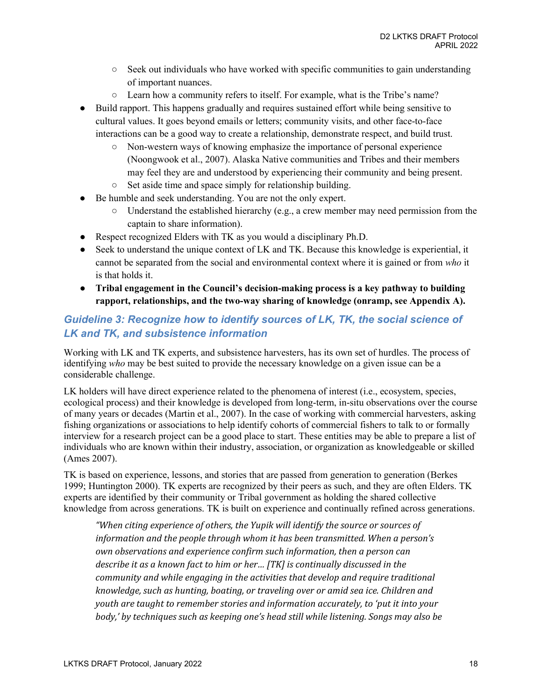- $\circ$  Seek out individuals who have worked with specific communities to gain understanding of important nuances.
- Learn how a community refers to itself. For example, what is the Tribe's name?
- Build rapport. This happens gradually and requires sustained effort while being sensitive to cultural values. It goes beyond emails or letters; community visits, and other face-to-face interactions can be a good way to create a relationship, demonstrate respect, and build trust.
	- Non-western ways of knowing emphasize the importance of personal experience (Noongwook et al., 2007). Alaska Native communities and Tribes and their members may feel they are and understood by experiencing their community and being present.
	- Set aside time and space simply for relationship building.
- Be humble and seek understanding. You are not the only expert.
	- $\circ$  Understand the established hierarchy (e.g., a crew member may need permission from the captain to share information).
- Respect recognized Elders with TK as you would a disciplinary Ph.D.
- Seek to understand the unique context of LK and TK. Because this knowledge is experiential, it cannot be separated from the social and environmental context where it is gained or from *who* it is that holds it.
- **Tribal engagement in the Council's decision-making process is a key pathway to building rapport, relationships, and the two-way sharing of knowledge (onramp, see Appendix A).**

# <span id="page-17-0"></span>*Guideline 3: Recognize how to identify sources of LK, TK, the social science of LK and TK, and subsistence information*

Working with LK and TK experts, and subsistence harvesters, has its own set of hurdles. The process of identifying *who* may be best suited to provide the necessary knowledge on a given issue can be a considerable challenge.

LK holders will have direct experience related to the phenomena of interest (i.e., ecosystem, species, ecological process) and their knowledge is developed from long-term, in-situ observations over the course of many years or decades (Martin et al., 2007). In the case of working with commercial harvesters, asking fishing organizations or associations to help identify cohorts of commercial fishers to talk to or formally interview for a research project can be a good place to start. These entities may be able to prepare a list of individuals who are known within their industry, association, or organization as knowledgeable or skilled (Ames 2007).

TK is based on experience, lessons, and stories that are passed from generation to generation (Berkes 1999; Huntington 2000). TK experts are recognized by their peers as such, and they are often Elders. TK experts are identified by their community or Tribal government as holding the shared collective knowledge from across generations. TK is built on experience and continually refined across generations.

*"When citing experience of others, the Yupik will identify the source or sources of information and the people through whom it has been transmitted. When a person's own observations and experience confirm such information, then a person can describe it as a known fact to him or her… [TK] is continually discussed in the community and while engaging in the activities that develop and require traditional knowledge, such as hunting, boating, or traveling over or amid sea ice. Children and youth are taught to remember stories and information accurately, to 'put it into your body,' by techniques such as keeping one's head still while listening. Songs may also be*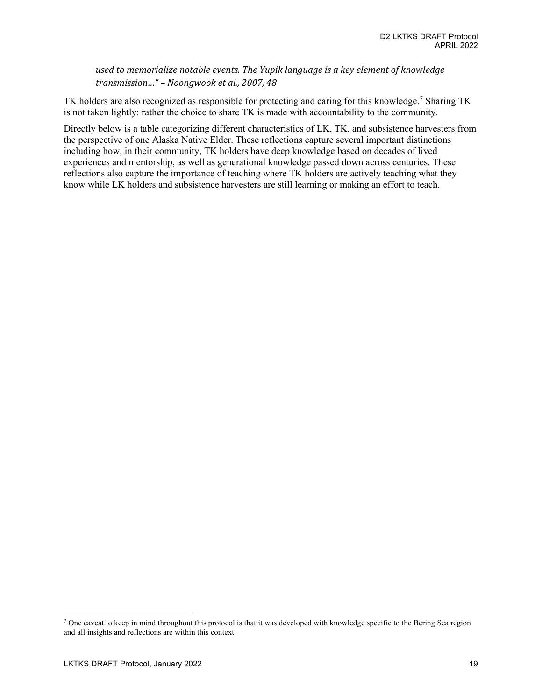*used to memorialize notable events. The Yupik language is a key element of knowledge transmission…" – Noongwook et al., 2007, 48*

TK holders are also recognized as responsible for protecting and caring for this knowledge.<sup>7</sup> Sharing TK is not taken lightly: rather the choice to share TK is made with accountability to the community.

Directly below is a table categorizing different characteristics of LK, TK, and subsistence harvesters from the perspective of one Alaska Native Elder. These reflections capture several important distinctions including how, in their community, TK holders have deep knowledge based on decades of lived experiences and mentorship, as well as generational knowledge passed down across centuries. These reflections also capture the importance of teaching where TK holders are actively teaching what they know while LK holders and subsistence harvesters are still learning or making an effort to teach.

<span id="page-18-0"></span><sup>7</sup> One caveat to keep in mind throughout this protocol is that it was developed with knowledge specific to the Bering Sea region and all insights and reflections are within this context.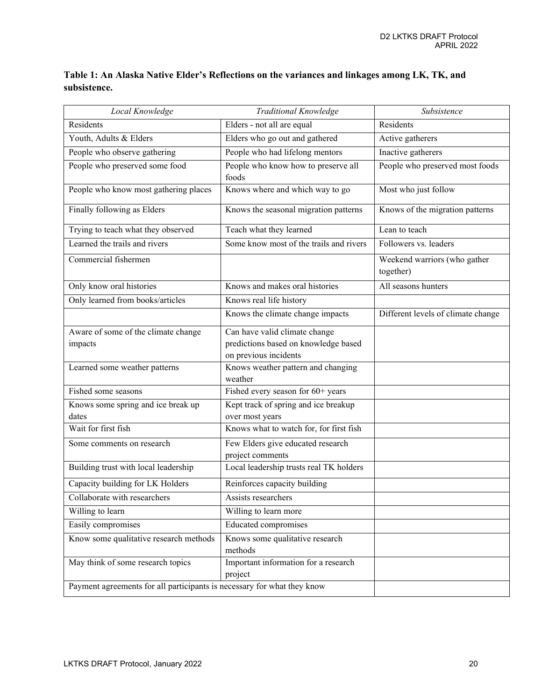| Table 1: An Alaska Native Elder's Reflections on the variances and linkages among LK, TK, and |  |  |
|-----------------------------------------------------------------------------------------------|--|--|
| subsistence.                                                                                  |  |  |

| Local Knowledge                                                         | <b>Traditional Knowledge</b>                                                                   | Subsistence                               |  |
|-------------------------------------------------------------------------|------------------------------------------------------------------------------------------------|-------------------------------------------|--|
| Residents                                                               | Elders - not all are equal                                                                     | Residents                                 |  |
| Youth, Adults & Elders                                                  | Elders who go out and gathered                                                                 | Active gatherers                          |  |
| People who observe gathering                                            | People who had lifelong mentors                                                                | Inactive gatherers                        |  |
| People who preserved some food                                          | People who know how to preserve all<br>foods                                                   | People who preserved most foods           |  |
| People who know most gathering places                                   | Knows where and which way to go                                                                | Most who just follow                      |  |
| Finally following as Elders                                             | Knows the seasonal migration patterns                                                          | Knows of the migration patterns           |  |
| Trying to teach what they observed                                      | Teach what they learned                                                                        | Lean to teach                             |  |
| Learned the trails and rivers                                           | Some know most of the trails and rivers                                                        | Followers vs. leaders                     |  |
| Commercial fishermen                                                    |                                                                                                | Weekend warriors (who gather<br>together) |  |
| Only know oral histories                                                | Knows and makes oral histories                                                                 | All seasons hunters                       |  |
| Only learned from books/articles                                        | Knows real life history                                                                        |                                           |  |
|                                                                         | Knows the climate change impacts                                                               | Different levels of climate change        |  |
| Aware of some of the climate change<br>impacts                          | Can have valid climate change<br>predictions based on knowledge based<br>on previous incidents |                                           |  |
| Learned some weather patterns                                           | Knows weather pattern and changing<br>weather                                                  |                                           |  |
| Fished some seasons                                                     | Fished every season for 60+ years                                                              |                                           |  |
| Knows some spring and ice break up<br>dates                             | Kept track of spring and ice breakup                                                           |                                           |  |
| Wait for first fish                                                     | over most years<br>Knows what to watch for, for first fish                                     |                                           |  |
| Some comments on research                                               | Few Elders give educated research<br>project comments                                          |                                           |  |
| Building trust with local leadership                                    | Local leadership trusts real TK holders                                                        |                                           |  |
| Capacity building for LK Holders                                        | Reinforces capacity building                                                                   |                                           |  |
| Collaborate with researchers                                            | Assists researchers                                                                            |                                           |  |
| Willing to learn                                                        | Willing to learn more                                                                          |                                           |  |
| Easily compromises                                                      | <b>Educated compromises</b>                                                                    |                                           |  |
| Know some qualitative research methods                                  | Knows some qualitative research<br>methods                                                     |                                           |  |
| May think of some research topics                                       | Important information for a research<br>project                                                |                                           |  |
| Payment agreements for all participants is necessary for what they know |                                                                                                |                                           |  |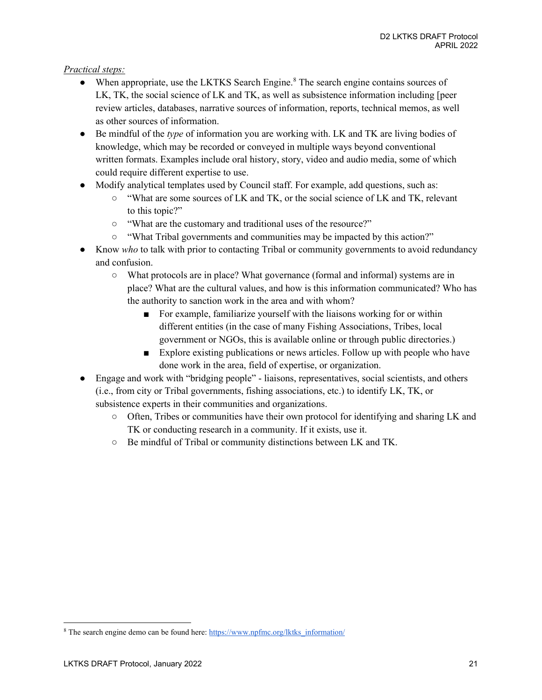### *Practical steps:*

- When appropriate, use the LKTKS Search Engine.<sup>8</sup> The search engine contains sources of LK, TK, the social science of LK and TK, as well as subsistence information including [peer review articles, databases, narrative sources of information, reports, technical memos, as well as other sources of information.
- Be mindful of the *type* of information you are working with. LK and TK are living bodies of knowledge, which may be recorded or conveyed in multiple ways beyond conventional written formats. Examples include oral history, story, video and audio media, some of which could require different expertise to use.
- Modify analytical templates used by Council staff. For example, add questions, such as:
	- "What are some sources of LK and TK, or the social science of LK and TK, relevant to this topic?"
	- "What are the customary and traditional uses of the resource?"
	- "What Tribal governments and communities may be impacted by this action?"
- Know *who* to talk with prior to contacting Tribal or community governments to avoid redundancy and confusion.
	- What protocols are in place? What governance (formal and informal) systems are in place? What are the cultural values, and how is this information communicated? Who has the authority to sanction work in the area and with whom?
		- For example, familiarize yourself with the liaisons working for or within different entities (in the case of many Fishing Associations, Tribes, local government or NGOs, this is available online or through public directories.)
		- Explore existing publications or news articles. Follow up with people who have done work in the area, field of expertise, or organization.
- Engage and work with "bridging people" liaisons, representatives, social scientists, and others (i.e., from city or Tribal governments, fishing associations, etc.) to identify LK, TK, or subsistence experts in their communities and organizations.
	- Often, Tribes or communities have their own protocol for identifying and sharing LK and TK or conducting research in a community. If it exists, use it.
	- Be mindful of Tribal or community distinctions between LK and TK.

<span id="page-20-0"></span><sup>&</sup>lt;sup>8</sup> The search engine demo can be found here: [https://www.npfmc.org/lktks\\_information/](https://www.npfmc.org/lktks_information/)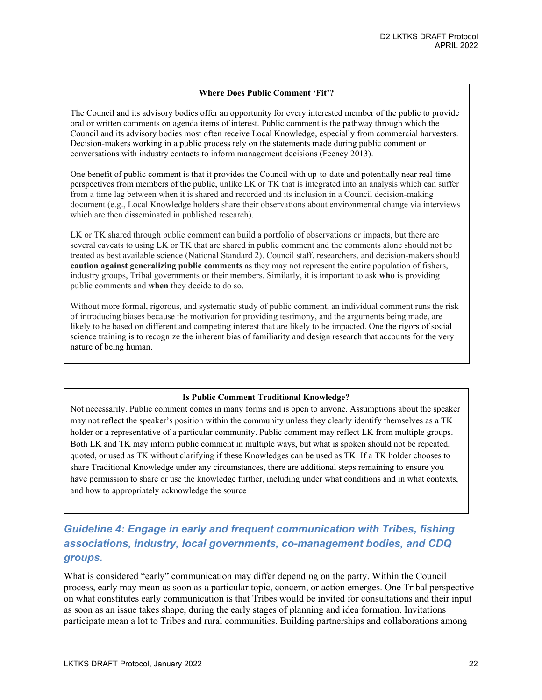#### **Where Does Public Comment 'Fit'?**

The Council and its advisory bodies offer an opportunity for every interested member of the public to provide oral or written comments on agenda items of interest. Public comment is the pathway through which the Council and its advisory bodies most often receive Local Knowledge, especially from commercial harvesters. Decision-makers working in a public process rely on the statements made during public comment or conversations with industry contacts to inform management decisions (Feeney 2013).

One benefit of public comment is that it provides the Council with up-to-date and potentially near real-time perspectives from members of the public, unlike LK or TK that is integrated into an analysis which can suffer from a time lag between when it is shared and recorded and its inclusion in a Council decision-making document (e.g., Local Knowledge holders share their observations about environmental change via interviews which are then disseminated in published research).

LK or TK shared through public comment can build a portfolio of observations or impacts, but there are several caveats to using LK or TK that are shared in public comment and the comments alone should not be treated as best available science (National Standard 2). Council staff, researchers, and decision-makers should **caution against generalizing public comments** as they may not represent the entire population of fishers, industry groups, Tribal governments or their members. Similarly, it is important to ask **who** is providing public comments and **when** they decide to do so.

Without more formal, rigorous, and systematic study of public comment, an individual comment runs the risk of introducing biases because the motivation for providing testimony, and the arguments being made, are likely to be based on different and competing interest that are likely to be impacted. One the rigors of social science training is to recognize the inherent bias of familiarity and design research that accounts for the very nature of being human.

#### **Is Public Comment Traditional Knowledge?**

Not necessarily. Public comment comes in many forms and is open to anyone. Assumptions about the speaker may not reflect the speaker's position within the community unless they clearly identify themselves as a TK holder or a representative of a particular community. Public comment may reflect LK from multiple groups. Both LK and TK may inform public comment in multiple ways, but what is spoken should not be repeated, quoted, or used as TK without clarifying if these Knowledges can be used as TK. If a TK holder chooses to share Traditional Knowledge under any circumstances, there are additional steps remaining to ensure you have permission to share or use the knowledge further, including under what conditions and in what contexts, and how to appropriately acknowledge the source

# <span id="page-21-0"></span>*Guideline 4: Engage in early and frequent communication with Tribes, fishing associations, industry, local governments, co-management bodies, and CDQ groups.*

What is considered "early" communication may differ depending on the party. Within the Council process, early may mean as soon as a particular topic, concern, or action emerges. One Tribal perspective on what constitutes early communication is that Tribes would be invited for consultations and their input as soon as an issue takes shape, during the early stages of planning and idea formation. Invitations participate mean a lot to Tribes and rural communities. Building partnerships and collaborations among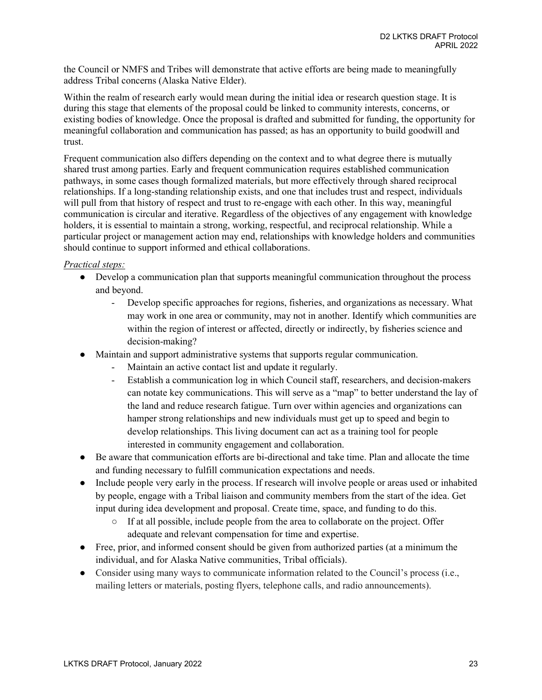the Council or NMFS and Tribes will demonstrate that active efforts are being made to meaningfully address Tribal concerns (Alaska Native Elder).

Within the realm of research early would mean during the initial idea or research question stage. It is during this stage that elements of the proposal could be linked to community interests, concerns, or existing bodies of knowledge. Once the proposal is drafted and submitted for funding, the opportunity for meaningful collaboration and communication has passed; as has an opportunity to build goodwill and trust.

Frequent communication also differs depending on the context and to what degree there is mutually shared trust among parties. Early and frequent communication requires established communication pathways, in some cases though formalized materials, but more effectively through shared reciprocal relationships. If a long-standing relationship exists, and one that includes trust and respect, individuals will pull from that history of respect and trust to re-engage with each other. In this way, meaningful communication is circular and iterative. Regardless of the objectives of any engagement with knowledge holders, it is essential to maintain a strong, working, respectful, and reciprocal relationship. While a particular project or management action may end, relationships with knowledge holders and communities should continue to support informed and ethical collaborations.

#### *Practical steps:*

- Develop a communication plan that supports meaningful communication throughout the process and beyond.
	- Develop specific approaches for regions, fisheries, and organizations as necessary. What may work in one area or community, may not in another. Identify which communities are within the region of interest or affected, directly or indirectly, by fisheries science and decision-making?
- Maintain and support administrative systems that supports regular communication.
	- Maintain an active contact list and update it regularly.
	- Establish a communication log in which Council staff, researchers, and decision-makers can notate key communications. This will serve as a "map" to better understand the lay of the land and reduce research fatigue. Turn over within agencies and organizations can hamper strong relationships and new individuals must get up to speed and begin to develop relationships. This living document can act as a training tool for people interested in community engagement and collaboration.
- Be aware that communication efforts are bi-directional and take time. Plan and allocate the time and funding necessary to fulfill communication expectations and needs.
- Include people very early in the process. If research will involve people or areas used or inhabited by people, engage with a Tribal liaison and community members from the start of the idea. Get input during idea development and proposal. Create time, space, and funding to do this.
	- If at all possible, include people from the area to collaborate on the project. Offer adequate and relevant compensation for time and expertise.
- Free, prior, and informed consent should be given from authorized parties (at a minimum the individual, and for Alaska Native communities, Tribal officials).
- Consider using many ways to communicate information related to the Council's process (i.e., mailing letters or materials, posting flyers, telephone calls, and radio announcements).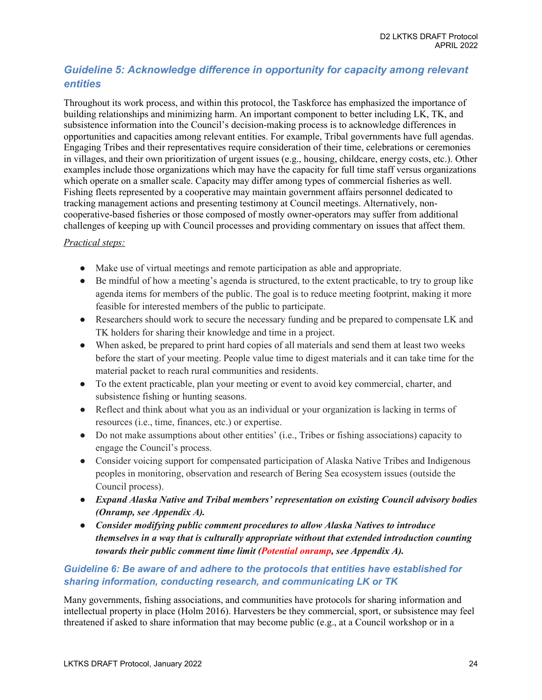# <span id="page-23-0"></span>*Guideline 5: Acknowledge difference in opportunity for capacity among relevant entities*

Throughout its work process, and within this protocol, the Taskforce has emphasized the importance of building relationships and minimizing harm. An important component to better including LK, TK, and subsistence information into the Council's decision-making process is to acknowledge differences in opportunities and capacities among relevant entities. For example, Tribal governments have full agendas. Engaging Tribes and their representatives require consideration of their time, celebrations or ceremonies in villages, and their own prioritization of urgent issues (e.g., housing, childcare, energy costs, etc.). Other examples include those organizations which may have the capacity for full time staff versus organizations which operate on a smaller scale. Capacity may differ among types of commercial fisheries as well. Fishing fleets represented by a cooperative may maintain government affairs personnel dedicated to tracking management actions and presenting testimony at Council meetings. Alternatively, noncooperative-based fisheries or those composed of mostly owner-operators may suffer from additional challenges of keeping up with Council processes and providing commentary on issues that affect them.

## *Practical steps:*

- Make use of virtual meetings and remote participation as able and appropriate.
- Be mindful of how a meeting's agenda is structured, to the extent practicable, to try to group like agenda items for members of the public. The goal is to reduce meeting footprint, making it more feasible for interested members of the public to participate.
- Researchers should work to secure the necessary funding and be prepared to compensate LK and TK holders for sharing their knowledge and time in a project.
- When asked, be prepared to print hard copies of all materials and send them at least two weeks before the start of your meeting. People value time to digest materials and it can take time for the material packet to reach rural communities and residents.
- To the extent practicable, plan your meeting or event to avoid key commercial, charter, and subsistence fishing or hunting seasons.
- Reflect and think about what you as an individual or your organization is lacking in terms of resources (i.e., time, finances, etc.) or expertise.
- Do not make assumptions about other entities' (i.e., Tribes or fishing associations) capacity to engage the Council's process.
- Consider voicing support for compensated participation of Alaska Native Tribes and Indigenous peoples in monitoring, observation and research of Bering Sea ecosystem issues (outside the Council process).
- *Expand Alaska Native and Tribal members' representation on existing Council advisory bodies (Onramp, see Appendix A).*
- *Consider modifying public comment procedures to allow Alaska Natives to introduce themselves in a way that is culturally appropriate without that extended introduction counting towards their public comment time limit (Potential onramp, see Appendix A).*

## <span id="page-23-1"></span>*Guideline 6: Be aware of and adhere to the protocols that entities have established for sharing information, conducting research, and communicating LK or TK*

Many governments, fishing associations, and communities have protocols for sharing information and intellectual property in place (Holm 2016). Harvesters be they commercial, sport, or subsistence may feel threatened if asked to share information that may become public (e.g., at a Council workshop or in a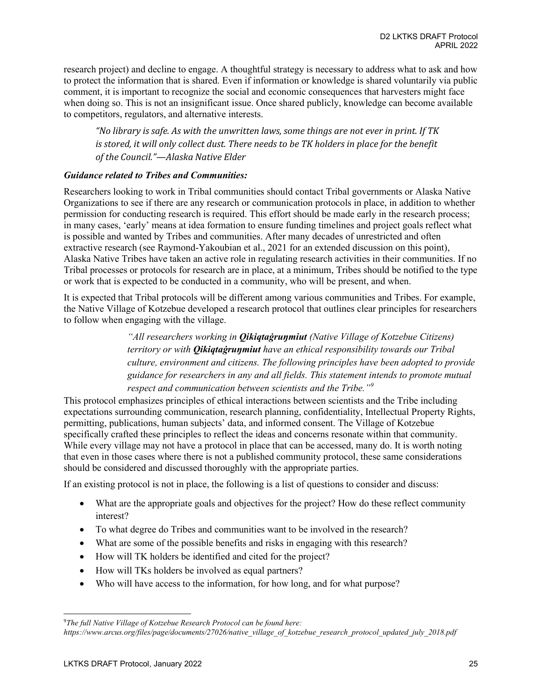research project) and decline to engage. A thoughtful strategy is necessary to address what to ask and how to protect the information that is shared. Even if information or knowledge is shared voluntarily via public comment, it is important to recognize the social and economic consequences that harvesters might face when doing so. This is not an insignificant issue. Once shared publicly, knowledge can become available to competitors, regulators, and alternative interests.

*"No library is safe. As with the unwritten laws, some things are not ever in print. If TK*  is stored, it will only collect dust. There needs to be TK holders in place for the benefit *of the Council."—Alaska Native Elder*

### *Guidance related to Tribes and Communities:*

Researchers looking to work in Tribal communities should contact Tribal governments or Alaska Native Organizations to see if there are any research or communication protocols in place, in addition to whether permission for conducting research is required. This effort should be made early in the research process; in many cases, 'early' means at idea formation to ensure funding timelines and project goals reflect what is possible and wanted by Tribes and communities. After many decades of unrestricted and often extractive research (see Raymond-Yakoubian et al., 2021 for an extended discussion on this point), Alaska Native Tribes have taken an active role in regulating research activities in their communities. If no Tribal processes or protocols for research are in place, at a minimum, Tribes should be notified to the type or work that is expected to be conducted in a community, who will be present, and when.

It is expected that Tribal protocols will be different among various communities and Tribes. For example, the Native Village of Kotzebue developed a research protocol that outlines clear principles for researchers to follow when engaging with the village.

> *"All researchers working in Qikiqtaġruŋmiut (Native Village of Kotzebue Citizens) territory or with Qikiqtaġruŋmiut have an ethical responsibility towards our Tribal culture, environment and citizens. The following principles have been adopted to provide guidance for researchers in any and all fields. This statement intends to promote mutual respect and communication between scientists and the Tribe."[9](#page-24-0)*

This protocol emphasizes principles of ethical interactions between scientists and the Tribe including expectations surrounding communication, research planning, confidentiality, Intellectual Property Rights, permitting, publications, human subjects' data, and informed consent. The Village of Kotzebue specifically crafted these principles to reflect the ideas and concerns resonate within that community. While every village may not have a protocol in place that can be accessed, many do. It is worth noting that even in those cases where there is not a published community protocol, these same considerations should be considered and discussed thoroughly with the appropriate parties.

If an existing protocol is not in place, the following is a list of questions to consider and discuss:

- What are the appropriate goals and objectives for the project? How do these reflect community interest?
- To what degree do Tribes and communities want to be involved in the research?
- What are some of the possible benefits and risks in engaging with this research?
- How will TK holders be identified and cited for the project?
- How will TKs holders be involved as equal partners?
- Who will have access to the information, for how long, and for what purpose?

<span id="page-24-0"></span><sup>9</sup>*The full Native Village of Kotzebue Research Protocol can be found here: https://www.arcus.org/files/page/documents/27026/native\_village\_of\_kotzebue\_research\_protocol\_updated\_july\_2018.pdf*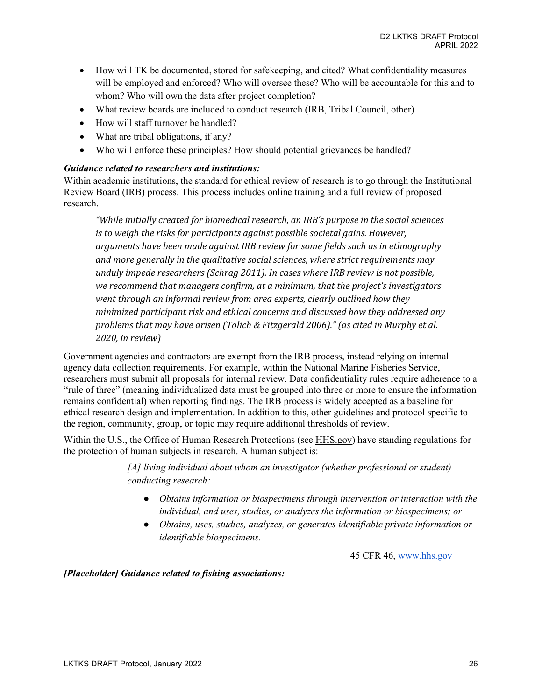- How will TK be documented, stored for safekeeping, and cited? What confidentiality measures will be employed and enforced? Who will oversee these? Who will be accountable for this and to whom? Who will own the data after project completion?
- What review boards are included to conduct research (IRB, Tribal Council, other)
- How will staff turnover be handled?
- What are tribal obligations, if any?
- Who will enforce these principles? How should potential grievances be handled?

### *Guidance related to researchers and institutions:*

Within academic institutions, the standard for ethical review of research is to go through the Institutional Review Board (IRB) process. This process includes online training and a full review of proposed research.

*"While initially created for biomedical research, an IRB's purpose in the social sciences is to weigh the risks for participants against possible societal gains. However, arguments have been made against IRB review for some fields such as in ethnography and more generally in the qualitative social sciences, where strict requirements may unduly impede researchers (Schrag 2011). In cases where IRB review is not possible, we recommend that managers confirm, at a minimum, that the project's investigators went through an informal review from area experts, clearly outlined how they minimized participant risk and ethical concerns and discussed how they addressed any problems that may have arisen (Tolich & Fitzgerald 2006)." (as cited in Murphy et al. 2020, in review)*

Government agencies and contractors are exempt from the IRB process, instead relying on internal agency data collection requirements. For example, within the National Marine Fisheries Service, researchers must submit all proposals for internal review. Data confidentiality rules require adherence to a "rule of three" (meaning individualized data must be grouped into three or more to ensure the information remains confidential) when reporting findings. The IRB process is widely accepted as a baseline for ethical research design and implementation. In addition to this, other guidelines and protocol specific to the region, community, group, or topic may require additional thresholds of review.

Within the U.S., the Office of Human Research Protections (see HHS.gov) have standing regulations for the protection of human subjects in research. A human subject is:

> *[A] living individual about whom an investigator (whether professional or student) conducting research:*

- *Obtains information or biospecimens through intervention or interaction with the individual, and uses, studies, or analyzes the information or biospecimens; or*
- *Obtains, uses, studies, analyzes, or generates identifiable private information or identifiable biospecimens.*

[45 CFR 46,](https://www.hhs.gov/ohrp/regulations-and-policy/regulations/45-cfr-46/index.html) [www.hhs.gov](http://www.hhs.gov/)

*[Placeholder] Guidance related to fishing associations:*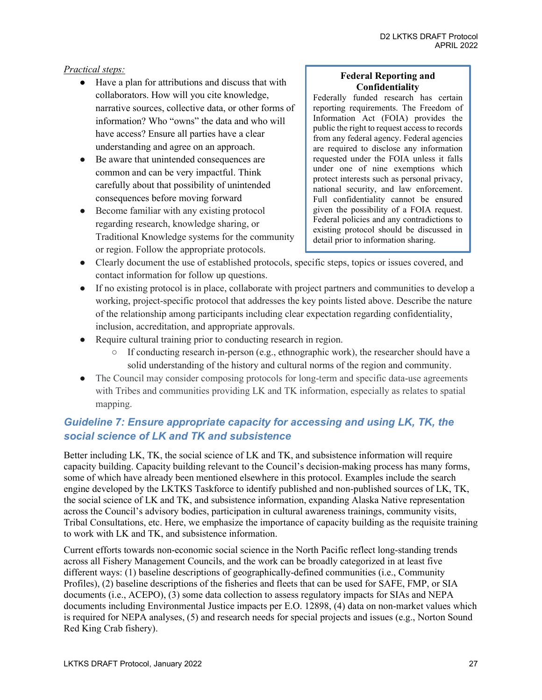### *Practical steps:*

- Have a plan for attributions and discuss that with collaborators. How will you cite knowledge, narrative sources, collective data, or other forms of information? Who "owns" the data and who will have access? Ensure all parties have a clear understanding and agree on an approach.
- Be aware that unintended consequences are common and can be very impactful. Think carefully about that possibility of unintended consequences before moving forward
- Become familiar with any existing protocol regarding research, knowledge sharing, or Traditional Knowledge systems for the community or region. Follow the appropriate protocols.

#### **Federal Reporting and Confidentiality**

Federally funded research has certain reporting requirements. The Freedom of Information Act (FOIA) provides the public the right to request access to records from any federal agency. Federal agencies are required to disclose any information requested under the FOIA unless it falls under one of nine exemptions which protect interests such as personal privacy, national security, and law enforcement. Full confidentiality cannot be ensured given the possibility of a FOIA request. Federal policies and any contradictions to existing protocol should be discussed in detail prior to information sharing.

- Clearly document the use of established protocols, specific steps, topics or issues covered, and contact information for follow up questions.
- If no existing protocol is in place, collaborate with project partners and communities to develop a working, project-specific protocol that addresses the key points listed above. Describe the nature of the relationship among participants including clear expectation regarding confidentiality, inclusion, accreditation, and appropriate approvals.
- Require cultural training prior to conducting research in region.
	- $\circ$  If conducting research in-person (e.g., ethnographic work), the researcher should have a solid understanding of the history and cultural norms of the region and community.
- The Council may consider composing protocols for long-term and specific data-use agreements with Tribes and communities providing LK and TK information, especially as relates to spatial mapping.

# <span id="page-26-0"></span>*Guideline 7: Ensure appropriate capacity for accessing and using LK, TK, the social science of LK and TK and subsistence*

Better including LK, TK, the social science of LK and TK, and subsistence information will require capacity building. Capacity building relevant to the Council's decision-making process has many forms, some of which have already been mentioned elsewhere in this protocol. Examples include the search engine developed by the LKTKS Taskforce to identify published and non-published sources of LK, TK, the social science of LK and TK, and subsistence information, expanding Alaska Native representation across the Council's advisory bodies, participation in cultural awareness trainings, community visits, Tribal Consultations, etc. Here, we emphasize the importance of capacity building as the requisite training to work with LK and TK, and subsistence information.

Current efforts towards non-economic social science in the North Pacific reflect long-standing trends across all Fishery Management Councils, and the work can be broadly categorized in at least five different ways: (1) baseline descriptions of geographically-defined communities (i.e., Community Profiles), (2) baseline descriptions of the fisheries and fleets that can be used for SAFE, FMP, or SIA documents (i.e., ACEPO), (3) some data collection to assess regulatory impacts for SIAs and NEPA documents including Environmental Justice impacts per E.O. 12898, (4) data on non-market values which is required for NEPA analyses, (5) and research needs for special projects and issues (e.g., Norton Sound Red King Crab fishery).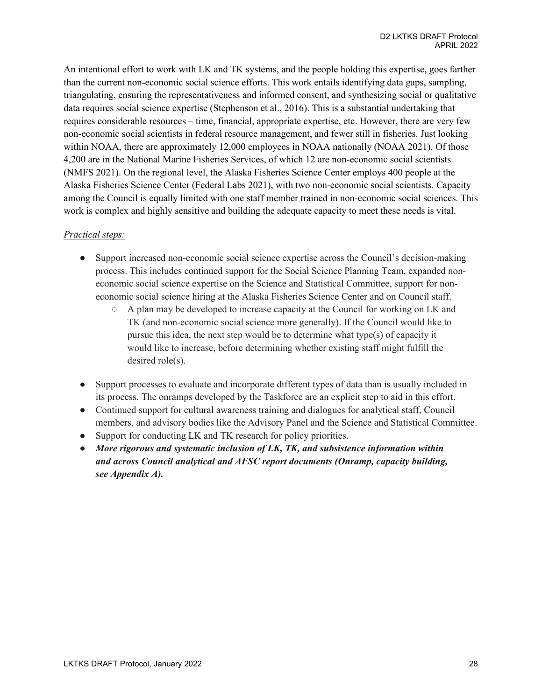An intentional effort to work with LK and TK systems, and the people holding this expertise, goes farther than the current non-economic social science efforts. This work entails identifying data gaps, sampling, triangulating, ensuring the representativeness and informed consent, and synthesizing social or qualitative data requires social science expertise (Stephenson et al., 2016). This is a substantial undertaking that requires considerable resources – time, financial, appropriate expertise, etc. However, there are very few non-economic social scientists in federal resource management, and fewer still in fisheries. Just looking within NOAA, there are approximately 12,000 employees in NOAA nationally (NOAA 2021). Of those 4,200 are in the National Marine Fisheries Services, of which 12 are non-economic social scientists (NMFS 2021). On the regional level, the Alaska Fisheries Science Center employs 400 people at the Alaska Fisheries Science Center (Federal Labs 2021), with two non-economic social scientists. Capacity among the Council is equally limited with one staff member trained in non-economic social sciences. This work is complex and highly sensitive and building the adequate capacity to meet these needs is vital.

### *Practical steps:*

- Support increased non-economic social science expertise across the Council's decision-making process. This includes continued support for the Social Science Planning Team, expanded noneconomic social science expertise on the Science and Statistical Committee, support for noneconomic social science hiring at the Alaska Fisheries Science Center and on Council staff.
	- A plan may be developed to increase capacity at the Council for working on LK and TK (and non-economic social science more generally). If the Council would like to pursue this idea, the next step would be to determine what type(s) of capacity it would like to increase, before determining whether existing staff might fulfill the desired role(s).
- Support processes to evaluate and incorporate different types of data than is usually included in its process. The onramps developed by the Taskforce are an explicit step to aid in this effort.
- Continued support for cultural awareness training and dialogues for analytical staff, Council members, and advisory bodies like the Advisory Panel and the Science and Statistical Committee.
- Support for conducting LK and TK research for policy priorities.
- *More rigorous and systematic inclusion of LK, TK, and subsistence information within and across Council analytical and AFSC report documents (Onramp, capacity building, see Appendix A).*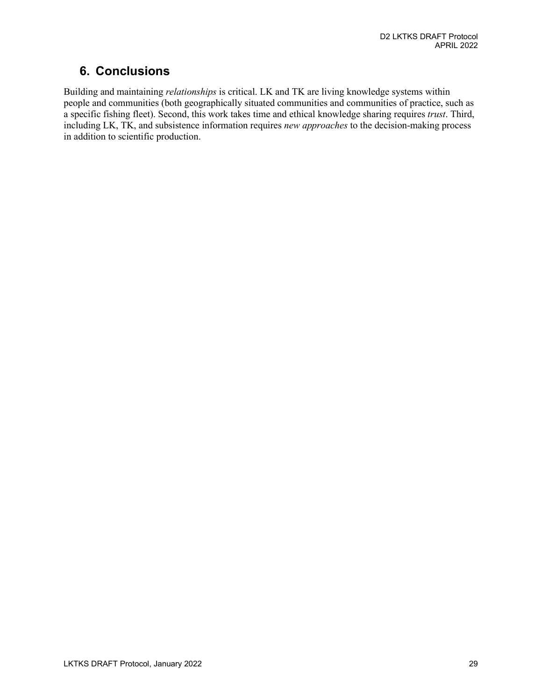# <span id="page-28-0"></span>**6. Conclusions**

Building and maintaining *relationships* is critical. LK and TK are living knowledge systems within people and communities (both geographically situated communities and communities of practice, such as a specific fishing fleet). Second, this work takes time and ethical knowledge sharing requires *trust*. Third, including LK, TK, and subsistence information requires *new approaches* to the decision-making process in addition to scientific production.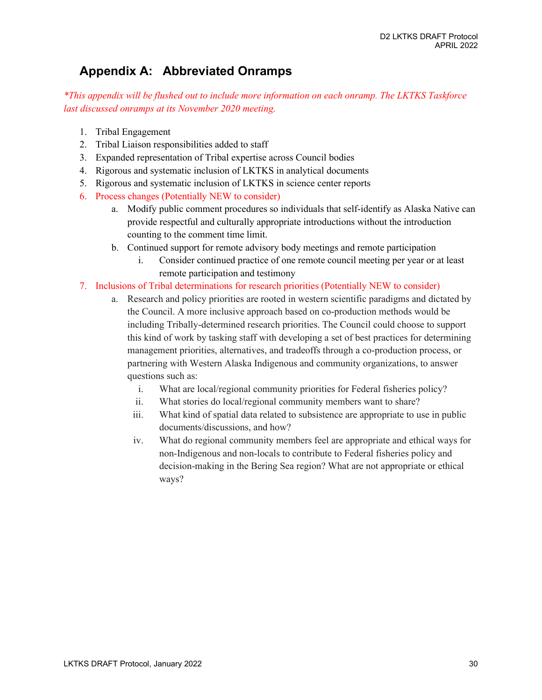# <span id="page-29-0"></span>**Appendix A: Abbreviated Onramps**

*\*This appendix will be flushed out to include more information on each onramp. The LKTKS Taskforce last discussed onramps at its November 2020 meeting.* 

- 1. Tribal Engagement
- 2. Tribal Liaison responsibilities added to staff
- 3. Expanded representation of Tribal expertise across Council bodies
- 4. Rigorous and systematic inclusion of LKTKS in analytical documents
- 5. Rigorous and systematic inclusion of LKTKS in science center reports
- 6. Process changes (Potentially NEW to consider)
	- a. Modify public comment procedures so individuals that self-identify as Alaska Native can provide respectful and culturally appropriate introductions without the introduction counting to the comment time limit.
	- b. Continued support for remote advisory body meetings and remote participation
		- i. Consider continued practice of one remote council meeting per year or at least remote participation and testimony
- 7. Inclusions of Tribal determinations for research priorities (Potentially NEW to consider)
	- a. Research and policy priorities are rooted in western scientific paradigms and dictated by the Council. A more inclusive approach based on co-production methods would be including Tribally-determined research priorities. The Council could choose to support this kind of work by tasking staff with developing a set of best practices for determining management priorities, alternatives, and tradeoffs through a co-production process, or partnering with Western Alaska Indigenous and community organizations, to answer questions such as:
		- i. What are local/regional community priorities for Federal fisheries policy?
		- ii. What stories do local/regional community members want to share?
		- iii. What kind of spatial data related to subsistence are appropriate to use in public documents/discussions, and how?
		- iv. What do regional community members feel are appropriate and ethical ways for non-Indigenous and non-locals to contribute to Federal fisheries policy and decision-making in the Bering Sea region? What are not appropriate or ethical ways?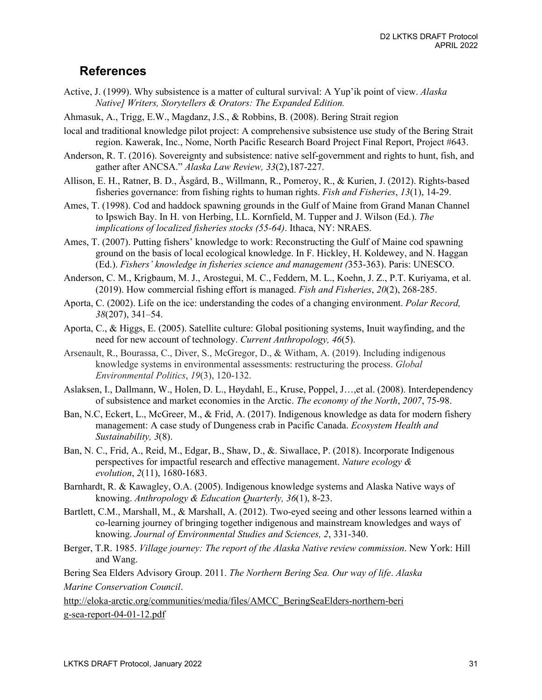# <span id="page-30-0"></span>**References**

- Active, J. (1999). Why subsistence is a matter of cultural survival: A Yup'ik point of view. *Alaska Native] Writers, Storytellers & Orators: The Expanded Edition.*
- Ahmasuk, A., Trigg, E.W., Magdanz, J.S., & Robbins, B. (2008). Bering Strait region
- local and traditional knowledge pilot project: A comprehensive subsistence use study of the Bering Strait region. Kawerak, Inc., Nome, North Pacific Research Board Project Final Report, Project #643.
- Anderson, R. T. (2016). Sovereignty and subsistence: native self-government and rights to hunt, fish, and gather after ANCSA." *Alaska Law Review, 33*(2),187-227.
- Allison, E. H., Ratner, B. D., Åsgård, B., Willmann, R., Pomeroy, R., & Kurien, J. (2012). Rights‐based fisheries governance: from fishing rights to human rights. *Fish and Fisheries*, *13*(1), 14-29.
- Ames, T. (1998). Cod and haddock spawning grounds in the Gulf of Maine from Grand Manan Channel to Ipswich Bay. In H. von Herbing, I.L. Kornfield, M. Tupper and J. Wilson (Ed.). *The implications of localized fisheries stocks (55-64)*. Ithaca, NY: NRAES.
- Ames, T. (2007). Putting fishers' knowledge to work: Reconstructing the Gulf of Maine cod spawning ground on the basis of local ecological knowledge. In F. Hickley, H. Koldewey, and N. Haggan (Ed.). *Fishers' knowledge in fisheries science and management (*353-363). Paris: UNESCO.
- Anderson, C. M., Krigbaum, M. J., Arostegui, M. C., Feddern, M. L., Koehn, J. Z., P.T. Kuriyama, et al. (2019). How commercial fishing effort is managed. *Fish and Fisheries*, *20*(2), 268-285.
- Aporta, C. (2002). Life on the ice: understanding the codes of a changing environment. *Polar Record, 38*(207), 341–54.
- Aporta, C., & Higgs, E. (2005). Satellite culture: Global positioning systems, Inuit wayfinding, and the need for new account of technology. *Current Anthropology, 46*(5).
- Arsenault, R., Bourassa, C., Diver, S., McGregor, D., & Witham, A. (2019). Including indigenous knowledge systems in environmental assessments: restructuring the process. *Global Environmental Politics*, *19*(3), 120-132.
- Aslaksen, I., Dallmann, W., Holen, D. L., Høydahl, E., Kruse, Poppel, J…,et al. (2008). Interdependency of subsistence and market economies in the Arctic. *The economy of the North*, *2007*, 75-98.
- Ban, N.C, Eckert, L., McGreer, M., & Frid, A. (2017). Indigenous knowledge as data for modern fishery management: A case study of Dungeness crab in Pacific Canada. *Ecosystem Health and Sustainability, 3*(8).
- Ban, N. C., Frid, A., Reid, M., Edgar, B., Shaw, D., &. Siwallace, P. (2018). Incorporate Indigenous perspectives for impactful research and effective management. *Nature ecology & evolution*, *2*(11), 1680-1683.
- Barnhardt, R. & Kawagley, O.A. (2005). Indigenous knowledge systems and Alaska Native ways of knowing. *Anthropology & Education Quarterly, 36*(1), 8-23.
- Bartlett, C.M., Marshall, M., & Marshall, A. (2012). Two-eyed seeing and other lessons learned within a co-learning journey of bringing together indigenous and mainstream knowledges and ways of knowing. *Journal of Environmental Studies and Sciences, 2*, 331-340.
- Berger, T.R. 1985. *Village journey: The report of the Alaska Native review commission*. New York: Hill and Wang.

Bering Sea Elders Advisory Group. 2011. *The Northern Bering Sea. Our way of life*. *Alaska Marine Conservation Council*.

[http://eloka-arctic.org/communities/media/files/AMCC\\_BeringSeaElders-northern-beri](http://eloka-arctic.org/communities/media/files/AMCC_BeringSeaElders-northern-beri) [g-sea-report-04-01-12.pdf](http://eloka-arctic.org/communities/media/files/AMCC_BeringSeaElders-northern-bering-sea-report-04-01-12.pdf)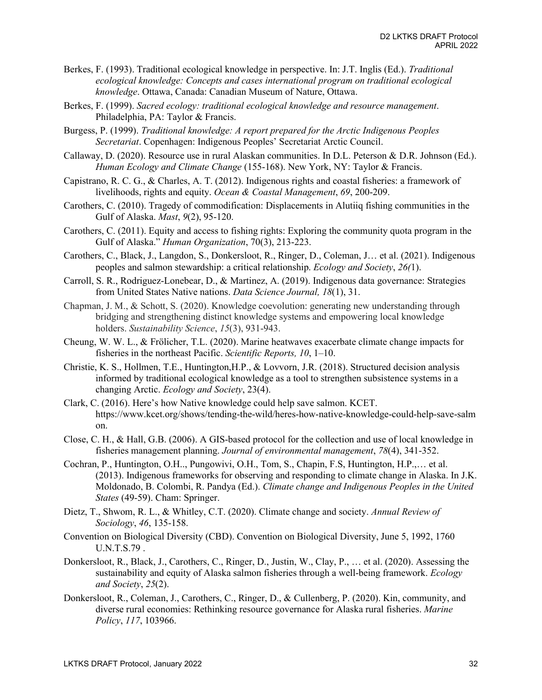- Berkes, F. (1993). Traditional ecological knowledge in perspective. In: J.T. Inglis (Ed.). *Traditional ecological knowledge: Concepts and cases international program on traditional ecological knowledge*. Ottawa, Canada: Canadian Museum of Nature, Ottawa.
- Berkes, F. (1999). *Sacred ecology: traditional ecological knowledge and resource management*. Philadelphia, PA: Taylor & Francis.
- Burgess, P. (1999). *Traditional knowledge: A report prepared for the Arctic Indigenous Peoples Secretariat*. Copenhagen: Indigenous Peoples' Secretariat Arctic Council.
- Callaway, D. (2020). Resource use in rural Alaskan communities. In D.L. Peterson & D.R. Johnson (Ed.). *Human Ecology and Climate Change* (155-168). New York, NY: Taylor & Francis.
- Capistrano, R. C. G., & Charles, A. T. (2012). Indigenous rights and coastal fisheries: a framework of livelihoods, rights and equity. *Ocean & Coastal Management*, *69*, 200-209.
- Carothers, C. (2010). Tragedy of commodification: Displacements in Alutiiq fishing communities in the Gulf of Alaska. *Mast*, *9*(2), 95-120.
- Carothers, C. (2011). Equity and access to fishing rights: Exploring the community quota program in the Gulf of Alaska." *Human Organization*, 70(3), 213-223.
- Carothers, C., Black, J., Langdon, S., Donkersloot, R., Ringer, D., Coleman, J… et al. (2021). Indigenous peoples and salmon stewardship: a critical relationship. *Ecology and Society*, *26(*1).
- Carroll, S. R., Rodriguez-Lonebear, D., & Martinez, A. (2019). Indigenous data governance: Strategies from United States Native nations. *Data Science Journal, 18*(1), 31.
- Chapman, J. M., & Schott, S. (2020). Knowledge coevolution: generating new understanding through bridging and strengthening distinct knowledge systems and empowering local knowledge holders. *Sustainability Science*, *15*(3), 931-943.
- Cheung, W. W. L., & Frölicher, T.L. (2020). Marine heatwaves exacerbate climate change impacts for fisheries in the northeast Pacific. *Scientific Reports, 10*, 1–10.
- Christie, K. S., Hollmen, T.E., Huntington,H.P., & Lovvorn, J.R. (2018). Structured decision analysis informed by traditional ecological knowledge as a tool to strengthen subsistence systems in a changing Arctic. *Ecology and Society*, 23(4).
- Clark, C. (2016). Here's how Native knowledge could help save salmon. KCET. http[s://www.kcet.org/shows/tending-the-wild/heres-how-native-knowledge-could-help-save-salm](http://www.kcet.org/shows/tending-the-wild/heres-how-native-knowledge-could-help-save-salm) on.
- Close, C. H., & Hall, G.B. (2006). A GIS-based protocol for the collection and use of local knowledge in fisheries management planning. *Journal of environmental management*, *78*(4), 341-352.
- Cochran, P., Huntington, O.H.., Pungowivi, O.H., Tom, S., Chapin, F.S, Huntington, H.P.,… et al. (2013). Indigenous frameworks for observing and responding to climate change in Alaska. In J.K. Moldonado, B. Colombi, R. Pandya (Ed.). *Climate change and Indigenous Peoples in the United States* (49-59). Cham: Springer.
- Dietz, T., Shwom, R. L., & Whitley, C.T. (2020). Climate change and society. *Annual Review of Sociology*, *46*, 135-158.
- Convention on Biological Diversity (CBD). Convention on Biological Diversity, June 5, 1992, 1760 U.N.T.S.79 .
- Donkersloot, R., Black, J., Carothers, C., Ringer, D., Justin, W., Clay, P., … et al. (2020). Assessing the sustainability and equity of Alaska salmon fisheries through a well-being framework. *Ecology and Society*, *25*(2).
- Donkersloot, R., Coleman, J., Carothers, C., Ringer, D., & Cullenberg, P. (2020). Kin, community, and diverse rural economies: Rethinking resource governance for Alaska rural fisheries. *Marine Policy*, *117*, 103966.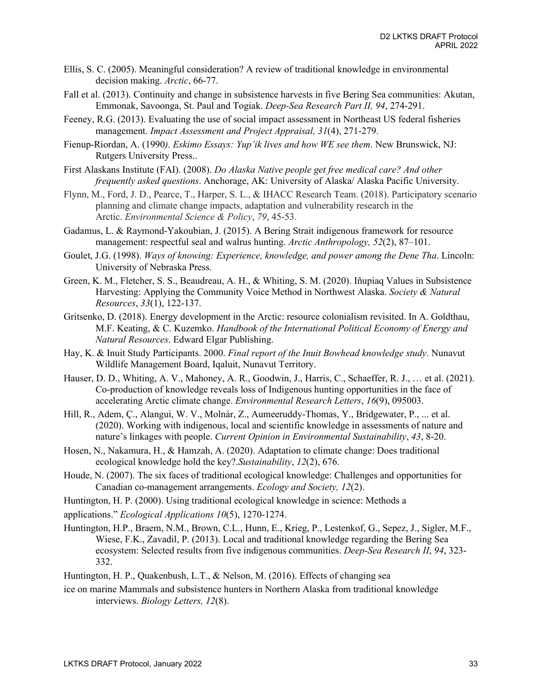- Ellis, S. C. (2005). Meaningful consideration? A review of traditional knowledge in environmental decision making. *Arctic*, 66-77.
- Fall et al. (2013). Continuity and change in subsistence harvests in five Bering Sea communities: Akutan, Emmonak, Savoonga, St. Paul and Togiak. *Deep-Sea Research Part II, 94*, 274-291.
- Feeney, R.G. (2013). Evaluating the use of social impact assessment in Northeast US federal fisheries management. *Impact Assessment and Project Appraisal, 31*(4), 271-279.
- Fienup-Riordan, A. (1990*). Eskimo Essays: Yup'ik lives and how WE see them*. New Brunswick, NJ: Rutgers University Press..
- First Alaskans Institute (FAI). (2008). *Do Alaska Native people get free medical care? And other frequently asked questions*. Anchorage, AK: University of Alaska/ Alaska Pacific University.
- Flynn, M., Ford, J. D., Pearce, T., Harper, S. L., & IHACC Research Team. (2018). Participatory scenario planning and climate change impacts, adaptation and vulnerability research in the Arctic. *Environmental Science & Policy*, *79*, 45-53.
- Gadamus, L. & Raymond-Yakoubian, J. (2015). A Bering Strait indigenous framework for resource management: respectful seal and walrus hunting. *Arctic Anthropology, 52*(2), 87–101[.](https://kawerak.org/wp-content/uploads/2018/04/Respectful-hunting-article.pdf)
- Goulet, J.G. (1998). *Ways of knowing: Experience, knowledge, and power among the Dene Tha*. Lincoln: University of Nebraska Press.
- Green, K. M., Fletcher, S. S., Beaudreau, A. H., & Whiting, S. M. (2020). Iñupiaq Values in Subsistence Harvesting: Applying the Community Voice Method in Northwest Alaska. *Society & Natural Resources*, *33*(1), 122-137.
- Gritsenko, D. (2018). Energy development in the Arctic: resource colonialism revisited. In A. Goldthau, M.F. Keating, & C. Kuzemko. *Handbook of the International Political Economy of Energy and Natural Resources*. Edward Elgar Publishing.
- Hay, K. & Inuit Study Participants. 2000. *Final report of the Inuit Bowhead knowledge study*. Nunavut Wildlife Management Board, Iqaluit, Nunavut Territory.
- Hauser, D. D., Whiting, A. V., Mahoney, A. R., Goodwin, J., Harris, C., Schaeffer, R. J., … et al. (2021). Co-production of knowledge reveals loss of Indigenous hunting opportunities in the face of accelerating Arctic climate change. *Environmental Research Letters*, *16*(9), 095003.
- Hill, R., Adem, Ç., Alangui, W. V., Molnár, Z., Aumeeruddy-Thomas, Y., Bridgewater, P., ... et al. (2020). Working with indigenous, local and scientific knowledge in assessments of nature and nature's linkages with people. *Current Opinion in Environmental Sustainability*, *43*, 8-20.
- Hosen, N., Nakamura, H., & Hamzah, A. (2020). Adaptation to climate change: Does traditional ecological knowledge hold the key?.*Sustainability*, *12*(2), 676.
- Houde, N. (2007). The six faces of traditional ecological knowledge: Challenges and opportunities for Canadian co-management arrangements. *Ecology and Society, 12*(2).
- Huntington, H. P. (2000). Using traditional ecological knowledge in science: Methods a
- applications." *Ecological Applications 10*(5), 1270-1274.
- Huntington, H.P., Braem, N.M., Brown, C.L., Hunn, E., Krieg, P., Lestenkof, G., Sepez, J., Sigler, M.F., Wiese, F.K., Zavadil, P. (2013). Local and traditional knowledge regarding the Bering Sea ecosystem: Selected results from five indigenous communities. *Deep-Sea Research II*, *94*, 323- 332.
- Huntington, H. P., Quakenbush, L.T., & Nelson, M. (2016). Effects of changing sea
- ice on marine Mammals and subsistence hunters in Northern Alaska from traditional knowledge interviews. *Biology Letters, 12*(8).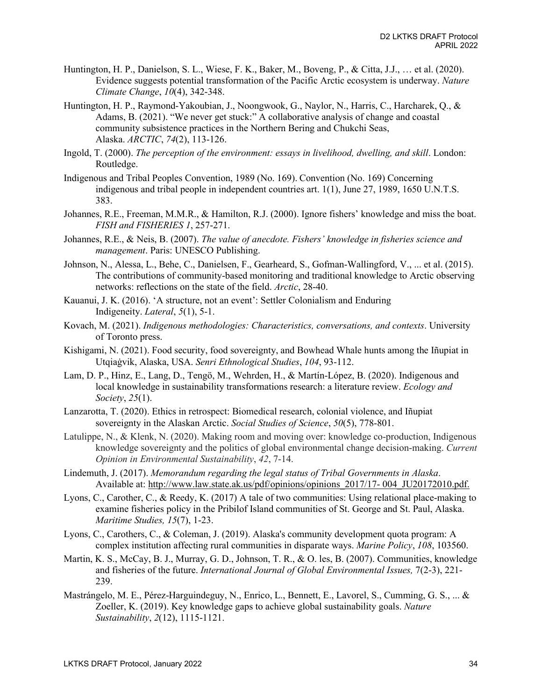- Huntington, H. P., Danielson, S. L., Wiese, F. K., Baker, M., Boveng, P., & Citta, J.J., … et al. (2020). Evidence suggests potential transformation of the Pacific Arctic ecosystem is underway. *Nature Climate Change*, *10*(4), 342-348.
- Huntington, H. P., Raymond-Yakoubian, J., Noongwook, G., Naylor, N., Harris, C., Harcharek, Q., & Adams, B. (2021). "We never get stuck:" A collaborative analysis of change and coastal community subsistence practices in the Northern Bering and Chukchi Seas, Alaska. *ARCTIC*, *74*(2), 113-126.
- Ingold, T. (2000). *The perception of the environment: essays in livelihood, dwelling, and skill*. London: Routledge.
- Indigenous and Tribal Peoples Convention, 1989 (No. 169). Convention (No. 169) Concerning indigenous and tribal people in independent countries art. 1(1), June 27, 1989, 1650 U.N.T.S. 383.
- Johannes, R.E., Freeman, M.M.R., & Hamilton, R.J. (2000). Ignore fishers' knowledge and miss the boat. *FISH and FISHERIES 1*, 257-271.
- Johannes, R.E., & Neis, B. (2007). *The value of anecdote. Fishers' knowledge in fisheries science and management*. Paris: UNESCO Publishing.
- Johnson, N., Alessa, L., Behe, C., Danielsen, F., Gearheard, S., Gofman-Wallingford, V., ... et al. (2015). The contributions of community-based monitoring and traditional knowledge to Arctic observing networks: reflections on the state of the field. *Arctic*, 28-40.
- Kauanui, J. K. (2016). 'A structure, not an event': Settler Colonialism and Enduring Indigeneity. *Lateral*, *5*(1), 5-1.
- Kovach, M. (2021). *Indigenous methodologies: Characteristics, conversations, and contexts*. University of Toronto press.
- Kishigami, N. (2021). Food security, food sovereignty, and Bowhead Whale hunts among the Iñupiat in Utqiaġvik, Alaska, USA. *Senri Ethnological Studies*, *104*, 93-112.
- Lam, D. P., Hinz, E., Lang, D., Tengö, M., Wehrden, H., & Martín-López, B. (2020). Indigenous and local knowledge in sustainability transformations research: a literature review. *Ecology and Society*, *25*(1).
- Lanzarotta, T. (2020). Ethics in retrospect: Biomedical research, colonial violence, and Iñupiat sovereignty in the Alaskan Arctic. *Social Studies of Science*, *50*(5), 778-801.
- Latulippe, N., & Klenk, N. (2020). Making room and moving over: knowledge co-production, Indigenous knowledge sovereignty and the politics of global environmental change decision-making. *Current Opinion in Environmental Sustainability*, *42*, 7-14.
- Lindemuth, J. (2017). *Memorandum regarding the legal status of Tribal Governments in Alaska*. Available at: [http://www.law.state.ak.us/pdf/opinions/opinions\\_2017/17-](http://www.law.state.ak.us/pdf/opinions/opinions_2017/17-004_JU20172010.pdf) 004\_JU20172010.pdf.
- Lyons, C., Carother, C., & Reedy, K. (2017) A tale of two communities: Using relational place-making to examine fisheries policy in the Pribilof Island communities of St. George and St. Paul, Alaska. *Maritime Studies, 15*(7), 1-23.
- Lyons, C., Carothers, C., & Coleman, J. (2019). Alaska's community development quota program: A complex institution affecting rural communities in disparate ways. *Marine Policy*, *108*, 103560.
- Martin, K. S., McCay, B. J., Murray, G. D., Johnson, T. R., & O. les, B. (2007). Communities, knowledge and fisheries of the future. *International Journal of Global Environmental Issues,* 7(2-3), 221- 239.
- Mastrángelo, M. E., Pérez-Harguindeguy, N., Enrico, L., Bennett, E., Lavorel, S., Cumming, G. S., ... & Zoeller, K. (2019). Key knowledge gaps to achieve global sustainability goals. *Nature Sustainability*, *2*(12), 1115-1121.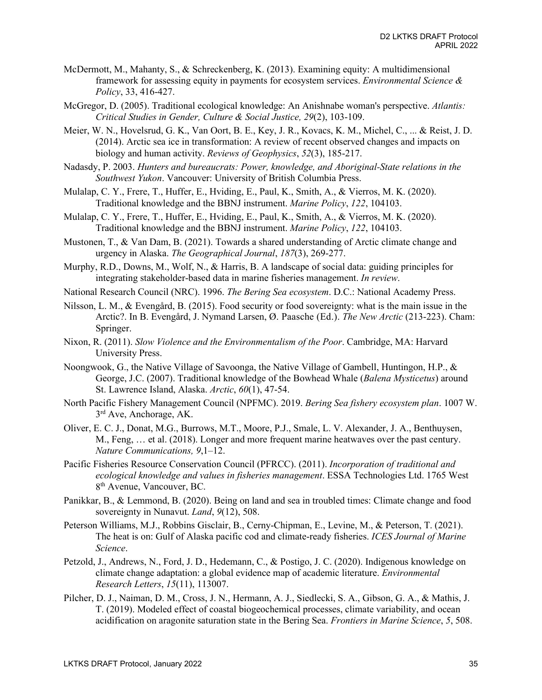- McDermott, M., Mahanty, S., & Schreckenberg, K. (2013). Examining equity: A multidimensional framework for assessing equity in payments for ecosystem services. *Environmental Science & Policy*, 33, 416-427.
- McGregor, D. (2005). Traditional ecological knowledge: An Anishnabe woman's perspective. *Atlantis: Critical Studies in Gender, Culture & Social Justice, 29*(2), 103-109.
- Meier, W. N., Hovelsrud, G. K., Van Oort, B. E., Key, J. R., Kovacs, K. M., Michel, C., ... & Reist, J. D. (2014). Arctic sea ice in transformation: A review of recent observed changes and impacts on biology and human activity. *Reviews of Geophysics*, *52*(3), 185-217.
- Nadasdy, P. 2003. *Hunters and bureaucrats: Power, knowledge, and Aboriginal-State relations in the Southwest Yukon*. Vancouver: University of British Columbia Press.
- Mulalap, C. Y., Frere, T., Huffer, E., Hviding, E., Paul, K., Smith, A., & Vierros, M. K. (2020). Traditional knowledge and the BBNJ instrument. *Marine Policy*, *122*, 104103.
- Mulalap, C. Y., Frere, T., Huffer, E., Hviding, E., Paul, K., Smith, A., & Vierros, M. K. (2020). Traditional knowledge and the BBNJ instrument. *Marine Policy*, *122*, 104103.
- Mustonen, T., & Van Dam, B. (2021). Towards a shared understanding of Arctic climate change and urgency in Alaska. *The Geographical Journal*, *187*(3), 269-277.
- Murphy, R.D., Downs, M., Wolf, N., & Harris, B. A landscape of social data: guiding principles for integrating stakeholder-based data in marine fisheries management. *In review*.
- National Research Council (NRC). 1996. *The Bering Sea ecosystem*. D.C.: National Academy Press.
- Nilsson, L. M., & Evengård, B. (2015). Food security or food sovereignty: what is the main issue in the Arctic?. In B. Evengård, J. Nymand Larsen, Ø. Paasche (Ed.). *The New Arctic* (213-223). Cham: Springer.
- Nixon, R. (2011). *Slow Violence and the Environmentalism of the Poor*. Cambridge, MA: Harvard University Press.
- Noongwook, G., the Native Village of Savoonga, the Native Village of Gambell, Huntingon, H.P., & George, J.C. (2007). Traditional knowledge of the Bowhead Whale (*Balena Mysticetus*) around St. Lawrence Island, Alaska. *Arctic*, *60*(1), 47-54.
- North Pacific Fishery Management Council (NPFMC). 2019. *Bering Sea fishery ecosystem plan*. 1007 W.  $3<sup>rd</sup>$  Ave, Anchorage, AK.
- Oliver, E. C. J., Donat, M.G., Burrows, M.T., Moore, P.J., Smale, L. V. Alexander, J. A., Benthuysen, M., Feng, … et al. (2018). Longer and more frequent marine heatwaves over the past century. *Nature Communications, 9*,1–12.
- Pacific Fisheries Resource Conservation Council (PFRCC). (2011). *Incorporation of traditional and ecological knowledge and values in fisheries management*. ESSA Technologies Ltd. 1765 West 8th Avenue, Vancouver, BC.
- Panikkar, B., & Lemmond, B. (2020). Being on land and sea in troubled times: Climate change and food sovereignty in Nunavut. *Land*, *9*(12), 508.
- Peterson Williams, M.J., Robbins Gisclair, B., Cerny-Chipman, E., Levine, M., & Peterson, T. (2021). The heat is on: Gulf of Alaska pacific cod and climate-ready fisheries. *ICES Journal of Marine Science*.
- Petzold, J., Andrews, N., Ford, J. D., Hedemann, C., & Postigo, J. C. (2020). Indigenous knowledge on climate change adaptation: a global evidence map of academic literature. *Environmental Research Letters*, *15*(11), 113007.
- Pilcher, D. J., Naiman, D. M., Cross, J. N., Hermann, A. J., Siedlecki, S. A., Gibson, G. A., & Mathis, J. T. (2019). Modeled effect of coastal biogeochemical processes, climate variability, and ocean acidification on aragonite saturation state in the Bering Sea. *Frontiers in Marine Science*, *5*, 508.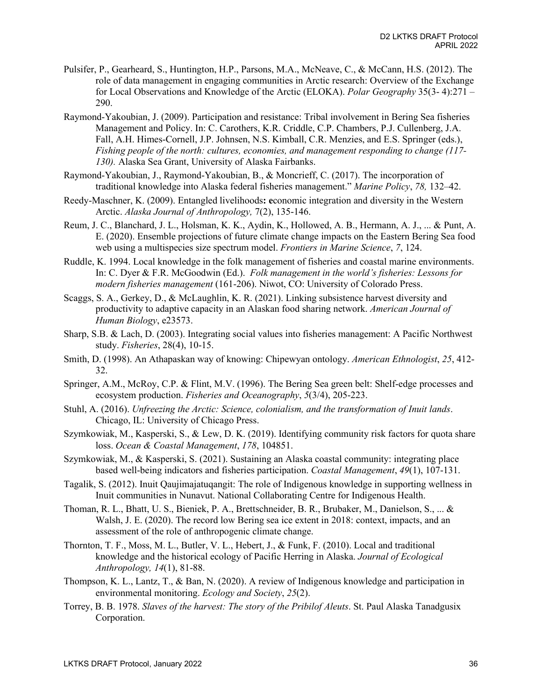- Pulsifer, P., Gearheard, S., Huntington, H.P., Parsons, M.A., McNeave, C., & McCann, H.S. (2012). The role of data management in engaging communities in Arctic research: Overview of the Exchange for Local Observations and Knowledge of the Arctic (ELOKA). *Polar Geography* 35(3- 4):271 – 290.
- Raymond-Yakoubian, J. (2009). Participation and resistance: Tribal involvement in Bering Sea fisheries Management and Policy. In: C. Carothers, K.R. Criddle, C.P. Chambers, P.J. Cullenberg, J.A. Fall, A.H. Himes-Cornell, J.P. Johnsen, N.S. Kimball, C.R. Menzies, and E.S. Springer (eds.), *Fishing people of the north: cultures, economies, and management responding to change (117- 130).* Alaska Sea Grant, University of Alaska Fairbanks.
- Raymond-Yakoubian, J., Raymond-Yakoubian, B., & Moncrieff, C. (2017). The incorporation of traditional knowledge into Alaska federal fisheries management." *Marine Policy*, *78,* 132–42[.](https://doi.org/10.1016/j.marpol.2016.12.024)
- Reedy-Maschner, K. (2009). Entangled livelihoods**: e**conomic integration and diversity in the Western Arctic. *Alaska Journal of Anthropology,* 7(2), 135-146.
- Reum, J. C., Blanchard, J. L., Holsman, K. K., Aydin, K., Hollowed, A. B., Hermann, A. J., ... & Punt, A. E. (2020). Ensemble projections of future climate change impacts on the Eastern Bering Sea food web using a multispecies size spectrum model. *Frontiers in Marine Science*, *7*, 124.
- Ruddle, K. 1994. Local knowledge in the folk management of fisheries and coastal marine environments. In: C. Dyer & F.R. McGoodwin (Ed.). *Folk management in the world's fisheries: Lessons for modern fisheries management* (161-206). Niwot, CO: University of Colorado Press.
- Scaggs, S. A., Gerkey, D., & McLaughlin, K. R. (2021). Linking subsistence harvest diversity and productivity to adaptive capacity in an Alaskan food sharing network. *American Journal of Human Biology*, e23573.
- Sharp, S.B. & Lach, D. (2003). Integrating social values into fisheries management: A Pacific Northwest study. *Fisheries*, 28(4), 10-15.
- Smith, D. (1998). An Athapaskan way of knowing: Chipewyan ontology. *American Ethnologist*, *25*, 412- 32.
- Springer, A.M., McRoy, C.P. & Flint, M.V. (1996). The Bering Sea green belt: Shelf-edge processes and ecosystem production. *Fisheries and Oceanography*, *5*(3/4), 205-223.
- Stuhl, A. (2016). *Unfreezing the Arctic: Science, colonialism, and the transformation of Inuit lands*. Chicago, IL: University of Chicago Press.
- Szymkowiak, M., Kasperski, S., & Lew, D. K. (2019). Identifying community risk factors for quota share loss. *Ocean & Coastal Management*, *178*, 104851.
- Szymkowiak, M., & Kasperski, S. (2021). Sustaining an Alaska coastal community: integrating place based well-being indicators and fisheries participation. *Coastal Management*, *49*(1), 107-131.
- Tagalik, S. (2012). Inuit Qaujimajatuqangit: The role of Indigenous knowledge in supporting wellness in Inuit communities in Nunavut. National Collaborating Centre for Indigenous Health.
- Thoman, R. L., Bhatt, U. S., Bieniek, P. A., Brettschneider, B. R., Brubaker, M., Danielson, S., ... & Walsh, J. E. (2020). The record low Bering sea ice extent in 2018: context, impacts, and an assessment of the role of anthropogenic climate change.
- Thornton, T. F., Moss, M. L., Butler, V. L., Hebert, J., & Funk, F. (2010). Local and traditional knowledge and the historical ecology of Pacific Herring in Alaska. *Journal of Ecological Anthropology, 14*(1), 81-88.
- Thompson, K. L., Lantz, T., & Ban, N. (2020). A review of Indigenous knowledge and participation in environmental monitoring. *Ecology and Society*, *25*(2).
- Torrey, B. B. 1978. *Slaves of the harvest: The story of the Pribilof Aleuts*. St. Paul Alaska Tanadgusix Corporation.